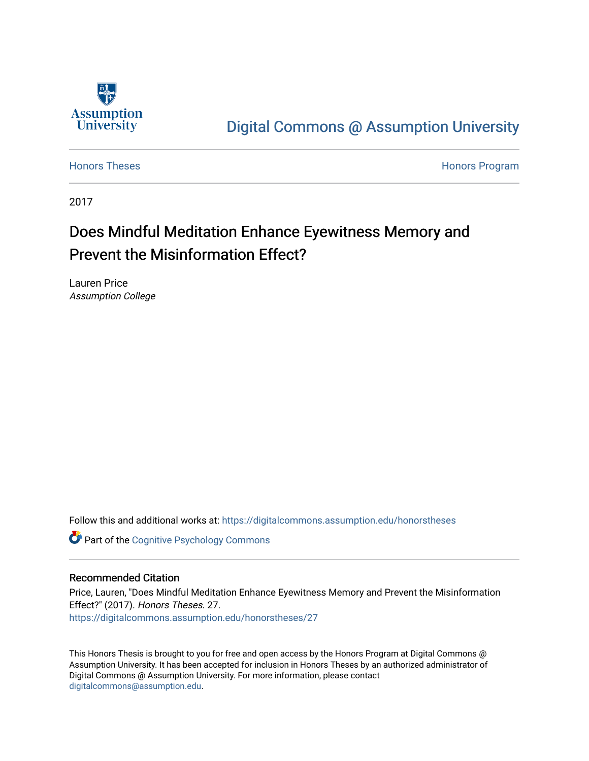

# [Digital Commons @ Assumption University](https://digitalcommons.assumption.edu/)

[Honors Theses](https://digitalcommons.assumption.edu/honorstheses) **Honors** Program

2017

# Does Mindful Meditation Enhance Eyewitness Memory and Prevent the Misinformation Effect?

Lauren Price Assumption College

Follow this and additional works at: [https://digitalcommons.assumption.edu/honorstheses](https://digitalcommons.assumption.edu/honorstheses?utm_source=digitalcommons.assumption.edu%2Fhonorstheses%2F27&utm_medium=PDF&utm_campaign=PDFCoverPages)

**Part of the Cognitive Psychology Commons** 

## Recommended Citation

Price, Lauren, "Does Mindful Meditation Enhance Eyewitness Memory and Prevent the Misinformation Effect?" (2017). Honors Theses. 27. [https://digitalcommons.assumption.edu/honorstheses/27](https://digitalcommons.assumption.edu/honorstheses/27?utm_source=digitalcommons.assumption.edu%2Fhonorstheses%2F27&utm_medium=PDF&utm_campaign=PDFCoverPages) 

This Honors Thesis is brought to you for free and open access by the Honors Program at Digital Commons @ Assumption University. It has been accepted for inclusion in Honors Theses by an authorized administrator of Digital Commons @ Assumption University. For more information, please contact [digitalcommons@assumption.edu](mailto:digitalcommons@assumption.edu).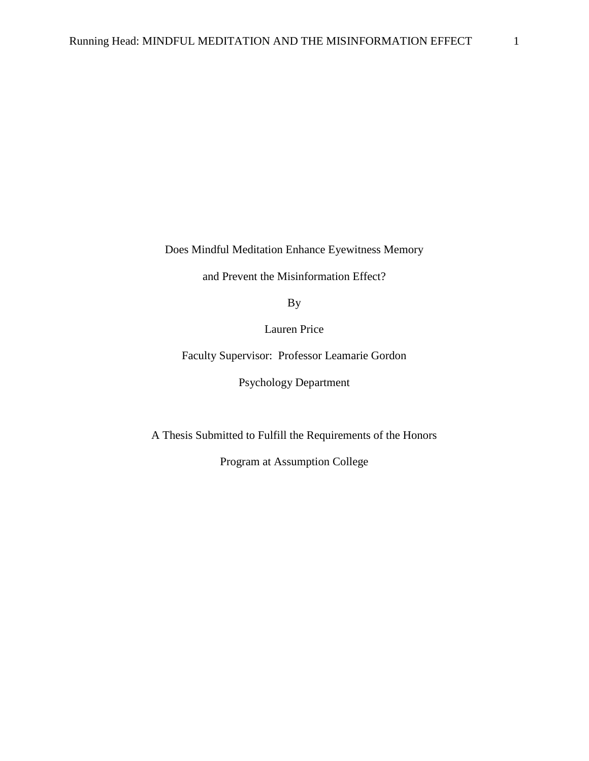Does Mindful Meditation Enhance Eyewitness Memory

and Prevent the Misinformation Effect?

By

Lauren Price

Faculty Supervisor: Professor Leamarie Gordon

Psychology Department

A Thesis Submitted to Fulfill the Requirements of the Honors

Program at Assumption College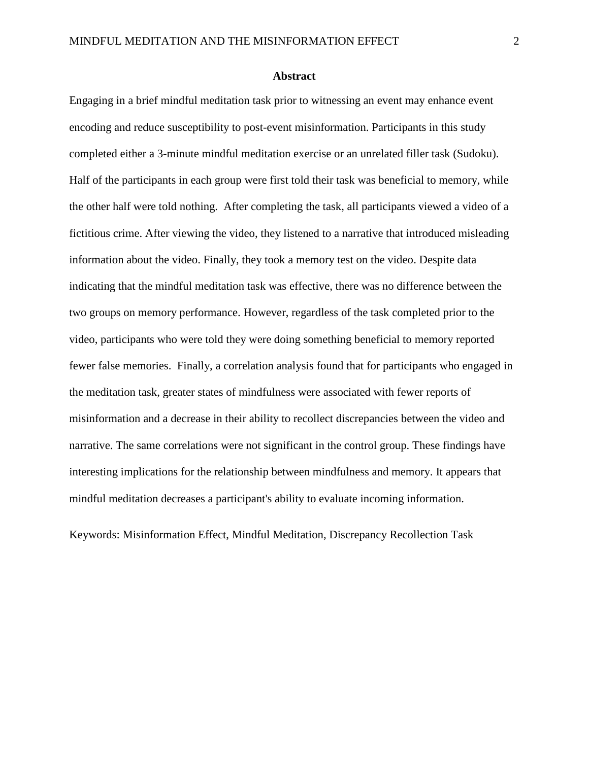### **Abstract**

Engaging in a brief mindful meditation task prior to witnessing an event may enhance event encoding and reduce susceptibility to post-event misinformation. Participants in this study completed either a 3-minute mindful meditation exercise or an unrelated filler task (Sudoku). Half of the participants in each group were first told their task was beneficial to memory, while the other half were told nothing. After completing the task, all participants viewed a video of a fictitious crime. After viewing the video, they listened to a narrative that introduced misleading information about the video. Finally, they took a memory test on the video. Despite data indicating that the mindful meditation task was effective, there was no difference between the two groups on memory performance. However, regardless of the task completed prior to the video, participants who were told they were doing something beneficial to memory reported fewer false memories. Finally, a correlation analysis found that for participants who engaged in the meditation task, greater states of mindfulness were associated with fewer reports of misinformation and a decrease in their ability to recollect discrepancies between the video and narrative. The same correlations were not significant in the control group. These findings have interesting implications for the relationship between mindfulness and memory. It appears that mindful meditation decreases a participant's ability to evaluate incoming information.

Keywords: Misinformation Effect, Mindful Meditation, Discrepancy Recollection Task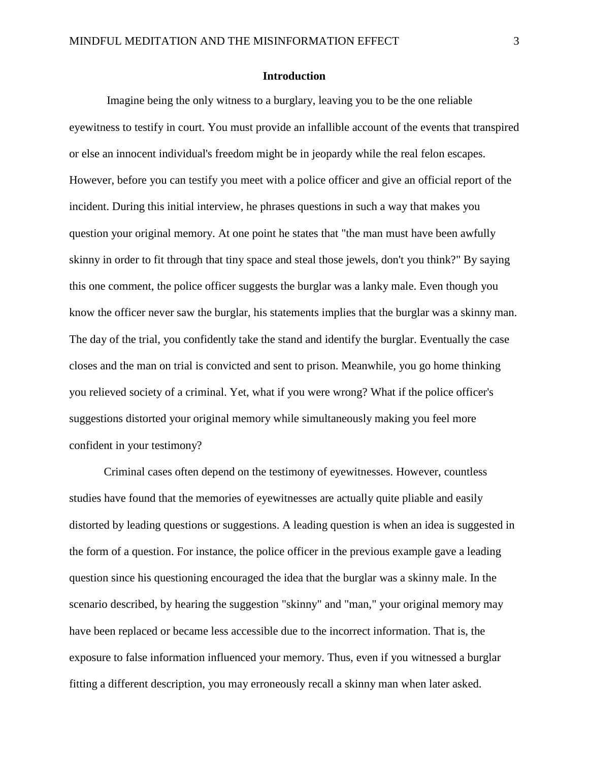## **Introduction**

Imagine being the only witness to a burglary, leaving you to be the one reliable eyewitness to testify in court. You must provide an infallible account of the events that transpired or else an innocent individual's freedom might be in jeopardy while the real felon escapes. However, before you can testify you meet with a police officer and give an official report of the incident. During this initial interview, he phrases questions in such a way that makes you question your original memory. At one point he states that "the man must have been awfully skinny in order to fit through that tiny space and steal those jewels, don't you think?" By saying this one comment, the police officer suggests the burglar was a lanky male. Even though you know the officer never saw the burglar, his statements implies that the burglar was a skinny man. The day of the trial, you confidently take the stand and identify the burglar. Eventually the case closes and the man on trial is convicted and sent to prison. Meanwhile, you go home thinking you relieved society of a criminal. Yet, what if you were wrong? What if the police officer's suggestions distorted your original memory while simultaneously making you feel more confident in your testimony?

Criminal cases often depend on the testimony of eyewitnesses. However, countless studies have found that the memories of eyewitnesses are actually quite pliable and easily distorted by leading questions or suggestions. A leading question is when an idea is suggested in the form of a question. For instance, the police officer in the previous example gave a leading question since his questioning encouraged the idea that the burglar was a skinny male. In the scenario described, by hearing the suggestion "skinny" and "man," your original memory may have been replaced or became less accessible due to the incorrect information. That is, the exposure to false information influenced your memory. Thus, even if you witnessed a burglar fitting a different description, you may erroneously recall a skinny man when later asked.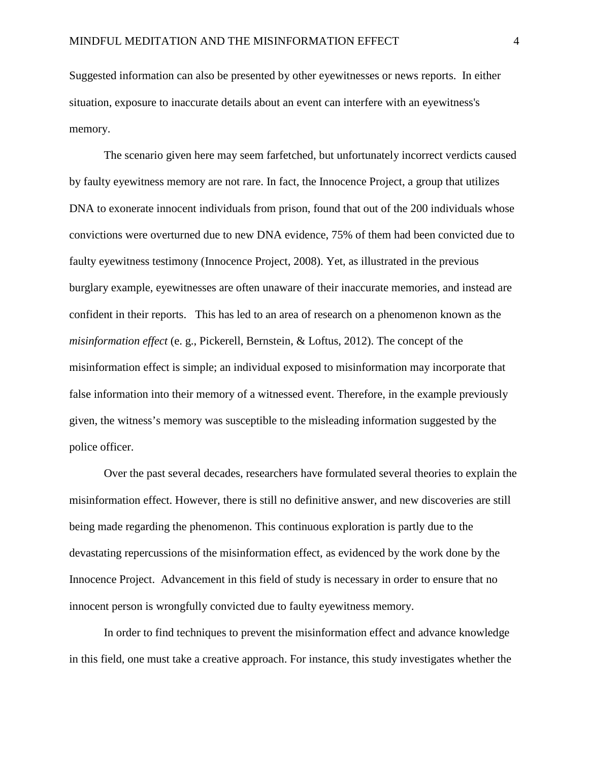Suggested information can also be presented by other eyewitnesses or news reports. In either situation, exposure to inaccurate details about an event can interfere with an eyewitness's memory.

The scenario given here may seem farfetched, but unfortunately incorrect verdicts caused by faulty eyewitness memory are not rare. In fact, the Innocence Project, a group that utilizes DNA to exonerate innocent individuals from prison, found that out of the 200 individuals whose convictions were overturned due to new DNA evidence, 75% of them had been convicted due to faulty eyewitness testimony (Innocence Project, 2008). Yet, as illustrated in the previous burglary example, eyewitnesses are often unaware of their inaccurate memories, and instead are confident in their reports. This has led to an area of research on a phenomenon known as the *misinformation effect* (e. g., Pickerell, Bernstein, & Loftus, 2012). The concept of the misinformation effect is simple; an individual exposed to misinformation may incorporate that false information into their memory of a witnessed event. Therefore, in the example previously given, the witness's memory was susceptible to the misleading information suggested by the police officer.

Over the past several decades, researchers have formulated several theories to explain the misinformation effect. However, there is still no definitive answer, and new discoveries are still being made regarding the phenomenon. This continuous exploration is partly due to the devastating repercussions of the misinformation effect, as evidenced by the work done by the Innocence Project. Advancement in this field of study is necessary in order to ensure that no innocent person is wrongfully convicted due to faulty eyewitness memory.

In order to find techniques to prevent the misinformation effect and advance knowledge in this field, one must take a creative approach. For instance, this study investigates whether the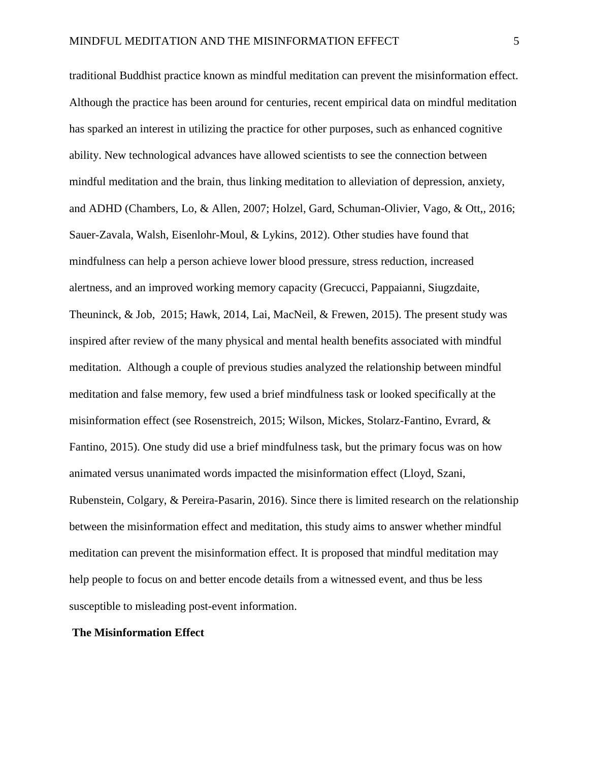traditional Buddhist practice known as mindful meditation can prevent the misinformation effect. Although the practice has been around for centuries, recent empirical data on mindful meditation has sparked an interest in utilizing the practice for other purposes, such as enhanced cognitive ability. New technological advances have allowed scientists to see the connection between mindful meditation and the brain, thus linking meditation to alleviation of depression, anxiety, and ADHD (Chambers, Lo, & Allen, 2007; Holzel, Gard, Schuman-Olivier, Vago, & Ott,, 2016; Sauer-Zavala, Walsh, Eisenlohr-Moul, & Lykins, 2012). Other studies have found that mindfulness can help a person achieve lower blood pressure, stress reduction, increased alertness, and an improved working memory capacity (Grecucci, Pappaianni, Siugzdaite, Theuninck, & Job, 2015; Hawk, 2014, Lai, MacNeil, & Frewen, 2015). The present study was inspired after review of the many physical and mental health benefits associated with mindful meditation. Although a couple of previous studies analyzed the relationship between mindful meditation and false memory, few used a brief mindfulness task or looked specifically at the misinformation effect (see Rosenstreich, 2015; Wilson, Mickes, Stolarz-Fantino, Evrard, & Fantino, 2015). One study did use a brief mindfulness task, but the primary focus was on how animated versus unanimated words impacted the misinformation effect (Lloyd, Szani, Rubenstein, Colgary, & Pereira-Pasarin, 2016). Since there is limited research on the relationship between the misinformation effect and meditation, this study aims to answer whether mindful meditation can prevent the misinformation effect. It is proposed that mindful meditation may help people to focus on and better encode details from a witnessed event, and thus be less susceptible to misleading post-event information.

### **The Misinformation Effect**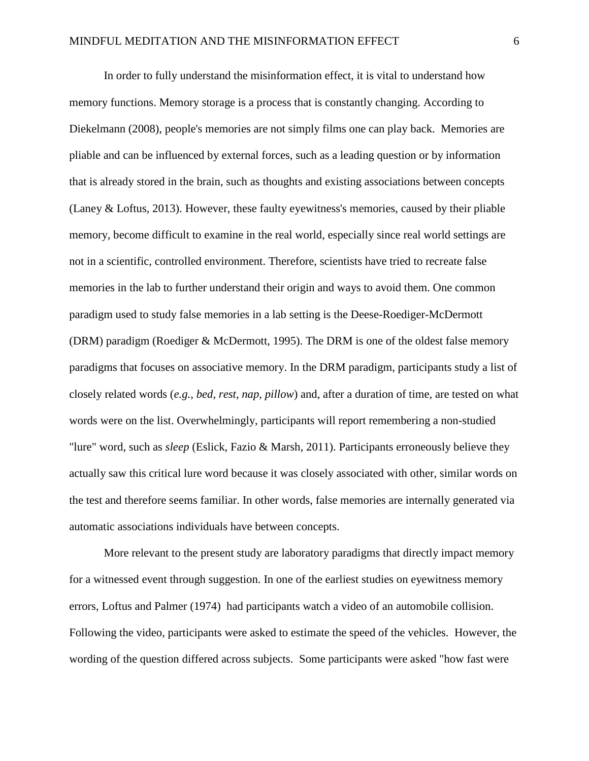In order to fully understand the misinformation effect, it is vital to understand how memory functions. Memory storage is a process that is constantly changing. According to Diekelmann (2008), people's memories are not simply films one can play back. Memories are pliable and can be influenced by external forces, such as a leading question or by information that is already stored in the brain, such as thoughts and existing associations between concepts (Laney & Loftus, 2013). However, these faulty eyewitness's memories, caused by their pliable memory, become difficult to examine in the real world, especially since real world settings are not in a scientific, controlled environment. Therefore, scientists have tried to recreate false memories in the lab to further understand their origin and ways to avoid them. One common paradigm used to study false memories in a lab setting is the Deese-Roediger-McDermott (DRM) paradigm (Roediger & McDermott, 1995). The DRM is one of the oldest false memory paradigms that focuses on associative memory. In the DRM paradigm, participants study a list of closely related words (*e.g., bed, rest, nap, pillow*) and, after a duration of time, are tested on what words were on the list. Overwhelmingly, participants will report remembering a non-studied "lure" word, such as *sleep* (Eslick, Fazio & Marsh, 2011). Participants erroneously believe they actually saw this critical lure word because it was closely associated with other, similar words on the test and therefore seems familiar. In other words, false memories are internally generated via automatic associations individuals have between concepts.

More relevant to the present study are laboratory paradigms that directly impact memory for a witnessed event through suggestion. In one of the earliest studies on eyewitness memory errors, Loftus and Palmer (1974) had participants watch a video of an automobile collision. Following the video, participants were asked to estimate the speed of the vehicles. However, the wording of the question differed across subjects. Some participants were asked "how fast were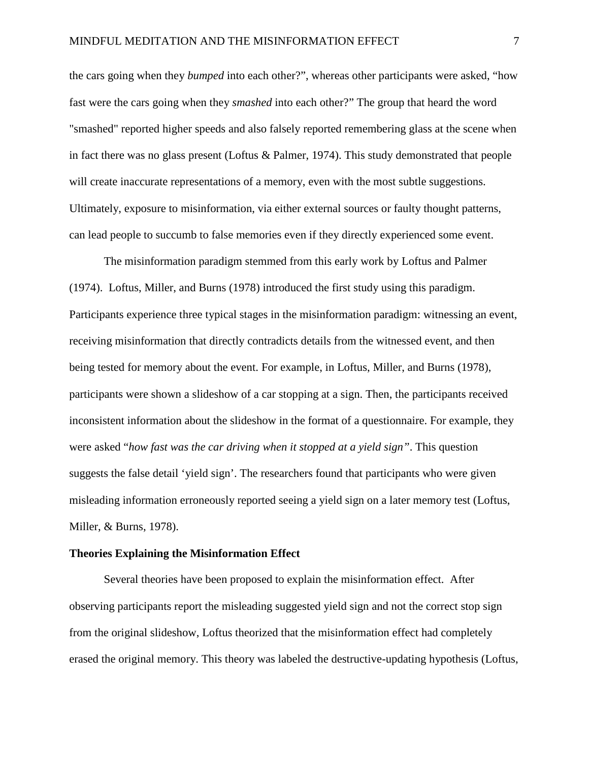the cars going when they *bumped* into each other?", whereas other participants were asked, "how fast were the cars going when they *smashed* into each other?" The group that heard the word "smashed" reported higher speeds and also falsely reported remembering glass at the scene when in fact there was no glass present (Loftus & Palmer, 1974). This study demonstrated that people will create inaccurate representations of a memory, even with the most subtle suggestions. Ultimately, exposure to misinformation, via either external sources or faulty thought patterns, can lead people to succumb to false memories even if they directly experienced some event.

The misinformation paradigm stemmed from this early work by Loftus and Palmer (1974). Loftus, Miller, and Burns (1978) introduced the first study using this paradigm. Participants experience three typical stages in the misinformation paradigm: witnessing an event, receiving misinformation that directly contradicts details from the witnessed event, and then being tested for memory about the event. For example, in Loftus, Miller, and Burns (1978), participants were shown a slideshow of a car stopping at a sign. Then, the participants received inconsistent information about the slideshow in the format of a questionnaire. For example, they were asked "*how fast was the car driving when it stopped at a yield sign"*. This question suggests the false detail 'yield sign'. The researchers found that participants who were given misleading information erroneously reported seeing a yield sign on a later memory test (Loftus, Miller, & Burns, 1978).

### **Theories Explaining the Misinformation Effect**

Several theories have been proposed to explain the misinformation effect. After observing participants report the misleading suggested yield sign and not the correct stop sign from the original slideshow, Loftus theorized that the misinformation effect had completely erased the original memory. This theory was labeled the destructive-updating hypothesis (Loftus,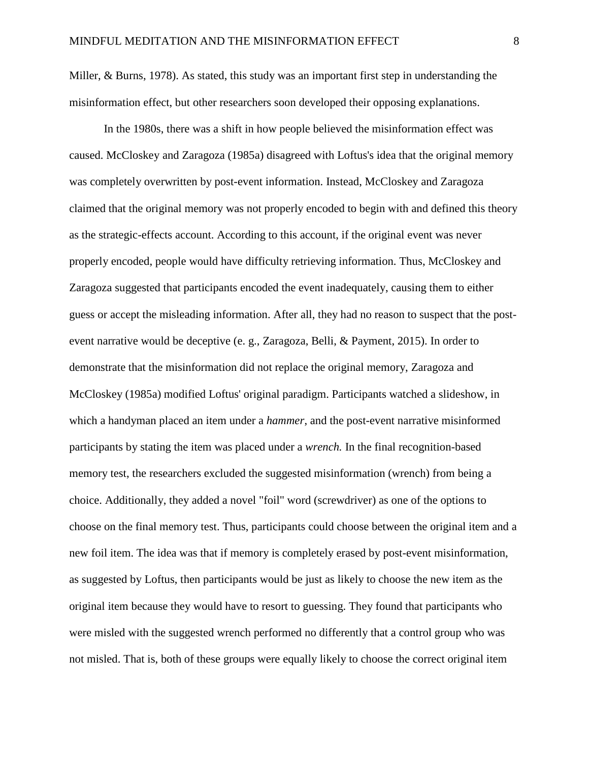Miller, & Burns, 1978). As stated, this study was an important first step in understanding the misinformation effect, but other researchers soon developed their opposing explanations.

In the 1980s, there was a shift in how people believed the misinformation effect was caused. McCloskey and Zaragoza (1985a) disagreed with Loftus's idea that the original memory was completely overwritten by post-event information. Instead, McCloskey and Zaragoza claimed that the original memory was not properly encoded to begin with and defined this theory as the strategic-effects account. According to this account, if the original event was never properly encoded, people would have difficulty retrieving information. Thus, McCloskey and Zaragoza suggested that participants encoded the event inadequately, causing them to either guess or accept the misleading information. After all, they had no reason to suspect that the postevent narrative would be deceptive (e. g., Zaragoza, Belli, & Payment, 2015). In order to demonstrate that the misinformation did not replace the original memory, Zaragoza and McCloskey (1985a) modified Loftus' original paradigm. Participants watched a slideshow, in which a handyman placed an item under a *hammer*, and the post-event narrative misinformed participants by stating the item was placed under a *wrench.* In the final recognition-based memory test, the researchers excluded the suggested misinformation (wrench) from being a choice. Additionally, they added a novel "foil" word (screwdriver) as one of the options to choose on the final memory test. Thus, participants could choose between the original item and a new foil item. The idea was that if memory is completely erased by post-event misinformation, as suggested by Loftus, then participants would be just as likely to choose the new item as the original item because they would have to resort to guessing. They found that participants who were misled with the suggested wrench performed no differently that a control group who was not misled. That is, both of these groups were equally likely to choose the correct original item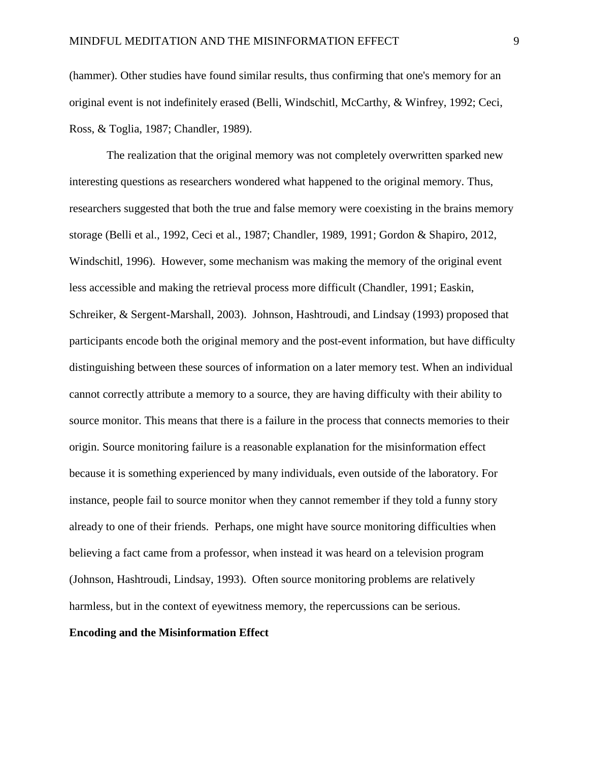(hammer). Other studies have found similar results, thus confirming that one's memory for an original event is not indefinitely erased (Belli, Windschitl, McCarthy, & Winfrey, 1992; Ceci, Ross, & Toglia, 1987; Chandler, 1989).

The realization that the original memory was not completely overwritten sparked new interesting questions as researchers wondered what happened to the original memory. Thus, researchers suggested that both the true and false memory were coexisting in the brains memory storage (Belli et al., 1992, Ceci et al., 1987; Chandler, 1989, 1991; Gordon & Shapiro, 2012, Windschitl, 1996). However, some mechanism was making the memory of the original event less accessible and making the retrieval process more difficult (Chandler, 1991; Easkin, Schreiker, & Sergent-Marshall, 2003). Johnson, Hashtroudi, and Lindsay (1993) proposed that participants encode both the original memory and the post-event information, but have difficulty distinguishing between these sources of information on a later memory test. When an individual cannot correctly attribute a memory to a source, they are having difficulty with their ability to source monitor. This means that there is a failure in the process that connects memories to their origin. Source monitoring failure is a reasonable explanation for the misinformation effect because it is something experienced by many individuals, even outside of the laboratory. For instance, people fail to source monitor when they cannot remember if they told a funny story already to one of their friends. Perhaps, one might have source monitoring difficulties when believing a fact came from a professor, when instead it was heard on a television program (Johnson, Hashtroudi, Lindsay, 1993). Often source monitoring problems are relatively harmless, but in the context of eyewitness memory, the repercussions can be serious.

## **Encoding and the Misinformation Effect**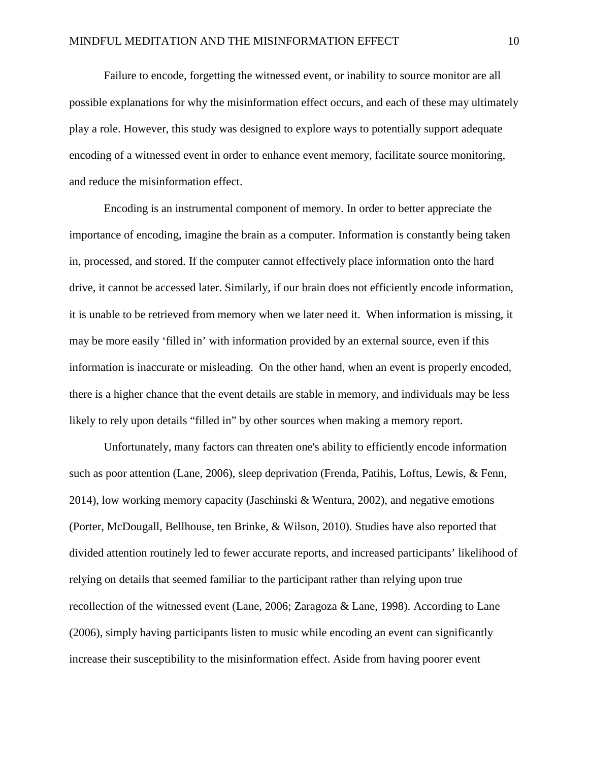Failure to encode, forgetting the witnessed event, or inability to source monitor are all possible explanations for why the misinformation effect occurs, and each of these may ultimately play a role. However, this study was designed to explore ways to potentially support adequate encoding of a witnessed event in order to enhance event memory, facilitate source monitoring, and reduce the misinformation effect.

Encoding is an instrumental component of memory. In order to better appreciate the importance of encoding, imagine the brain as a computer. Information is constantly being taken in, processed, and stored. If the computer cannot effectively place information onto the hard drive, it cannot be accessed later. Similarly, if our brain does not efficiently encode information, it is unable to be retrieved from memory when we later need it. When information is missing, it may be more easily 'filled in' with information provided by an external source, even if this information is inaccurate or misleading. On the other hand, when an event is properly encoded, there is a higher chance that the event details are stable in memory, and individuals may be less likely to rely upon details "filled in" by other sources when making a memory report.

Unfortunately, many factors can threaten one's ability to efficiently encode information such as poor attention (Lane, 2006), sleep deprivation (Frenda, Patihis, Loftus, Lewis, & Fenn, 2014), low working memory capacity (Jaschinski & Wentura, 2002), and negative emotions (Porter, McDougall, Bellhouse, ten Brinke, & Wilson, 2010). Studies have also reported that divided attention routinely led to fewer accurate reports, and increased participants' likelihood of relying on details that seemed familiar to the participant rather than relying upon true recollection of the witnessed event (Lane, 2006; Zaragoza & Lane, 1998). According to Lane (2006), simply having participants listen to music while encoding an event can significantly increase their susceptibility to the misinformation effect. Aside from having poorer event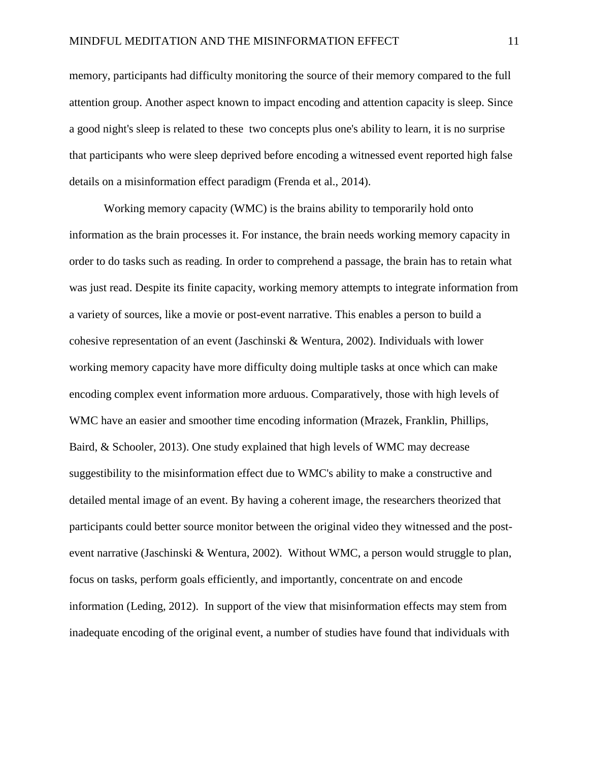memory, participants had difficulty monitoring the source of their memory compared to the full attention group. Another aspect known to impact encoding and attention capacity is sleep. Since a good night's sleep is related to these two concepts plus one's ability to learn, it is no surprise that participants who were sleep deprived before encoding a witnessed event reported high false details on a misinformation effect paradigm (Frenda et al., 2014).

Working memory capacity (WMC) is the brains ability to temporarily hold onto information as the brain processes it. For instance, the brain needs working memory capacity in order to do tasks such as reading. In order to comprehend a passage, the brain has to retain what was just read. Despite its finite capacity, working memory attempts to integrate information from a variety of sources, like a movie or post-event narrative. This enables a person to build a cohesive representation of an event (Jaschinski & Wentura, 2002). Individuals with lower working memory capacity have more difficulty doing multiple tasks at once which can make encoding complex event information more arduous. Comparatively, those with high levels of WMC have an easier and smoother time encoding information (Mrazek, Franklin, Phillips, Baird, & Schooler, 2013). One study explained that high levels of WMC may decrease suggestibility to the misinformation effect due to WMC's ability to make a constructive and detailed mental image of an event. By having a coherent image, the researchers theorized that participants could better source monitor between the original video they witnessed and the postevent narrative (Jaschinski & Wentura, 2002). Without WMC, a person would struggle to plan, focus on tasks, perform goals efficiently, and importantly, concentrate on and encode information (Leding, 2012). In support of the view that misinformation effects may stem from inadequate encoding of the original event, a number of studies have found that individuals with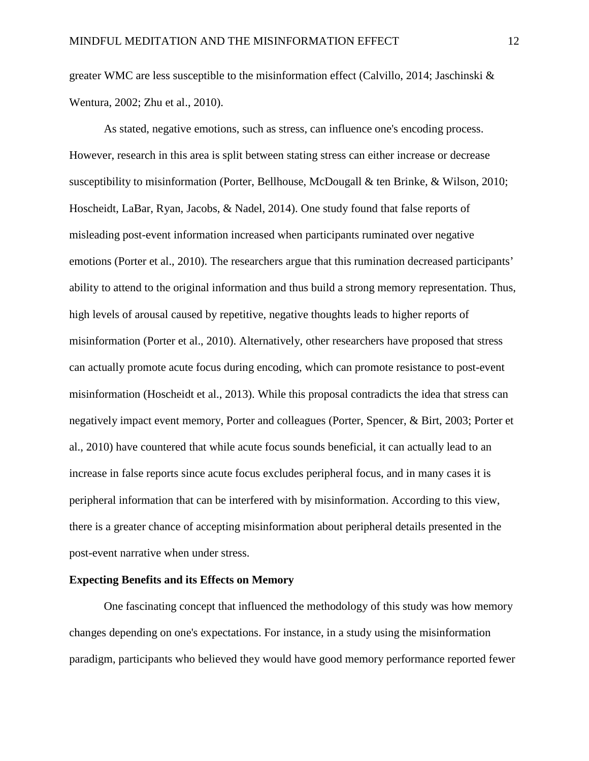greater WMC are less susceptible to the misinformation effect (Calvillo, 2014; Jaschinski & Wentura, 2002; Zhu et al., 2010).

As stated, negative emotions, such as stress, can influence one's encoding process. However, research in this area is split between stating stress can either increase or decrease susceptibility to misinformation (Porter, Bellhouse, McDougall & ten Brinke, & Wilson, 2010; Hoscheidt, LaBar, Ryan, Jacobs, & Nadel, 2014). One study found that false reports of misleading post-event information increased when participants ruminated over negative emotions (Porter et al., 2010). The researchers argue that this rumination decreased participants' ability to attend to the original information and thus build a strong memory representation. Thus, high levels of arousal caused by repetitive, negative thoughts leads to higher reports of misinformation (Porter et al., 2010). Alternatively, other researchers have proposed that stress can actually promote acute focus during encoding, which can promote resistance to post-event misinformation (Hoscheidt et al., 2013). While this proposal contradicts the idea that stress can negatively impact event memory, Porter and colleagues (Porter, Spencer, & Birt, 2003; Porter et al., 2010) have countered that while acute focus sounds beneficial, it can actually lead to an increase in false reports since acute focus excludes peripheral focus, and in many cases it is peripheral information that can be interfered with by misinformation. According to this view, there is a greater chance of accepting misinformation about peripheral details presented in the post-event narrative when under stress.

### **Expecting Benefits and its Effects on Memory**

One fascinating concept that influenced the methodology of this study was how memory changes depending on one's expectations. For instance, in a study using the misinformation paradigm, participants who believed they would have good memory performance reported fewer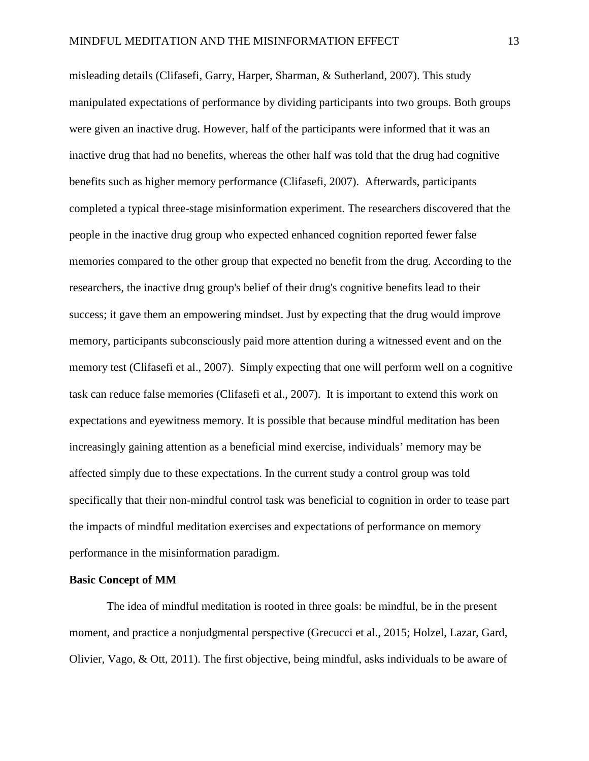misleading details (Clifasefi, Garry, Harper, Sharman, & Sutherland, 2007). This study manipulated expectations of performance by dividing participants into two groups. Both groups were given an inactive drug. However, half of the participants were informed that it was an inactive drug that had no benefits, whereas the other half was told that the drug had cognitive benefits such as higher memory performance (Clifasefi, 2007). Afterwards, participants completed a typical three-stage misinformation experiment. The researchers discovered that the people in the inactive drug group who expected enhanced cognition reported fewer false memories compared to the other group that expected no benefit from the drug. According to the researchers, the inactive drug group's belief of their drug's cognitive benefits lead to their success; it gave them an empowering mindset. Just by expecting that the drug would improve memory, participants subconsciously paid more attention during a witnessed event and on the memory test (Clifasefi et al., 2007). Simply expecting that one will perform well on a cognitive task can reduce false memories (Clifasefi et al., 2007). It is important to extend this work on expectations and eyewitness memory. It is possible that because mindful meditation has been increasingly gaining attention as a beneficial mind exercise, individuals' memory may be affected simply due to these expectations. In the current study a control group was told specifically that their non-mindful control task was beneficial to cognition in order to tease part the impacts of mindful meditation exercises and expectations of performance on memory performance in the misinformation paradigm.

### **Basic Concept of MM**

The idea of mindful meditation is rooted in three goals: be mindful, be in the present moment, and practice a nonjudgmental perspective (Grecucci et al., 2015; Holzel, Lazar, Gard, Olivier, Vago, & Ott, 2011). The first objective, being mindful, asks individuals to be aware of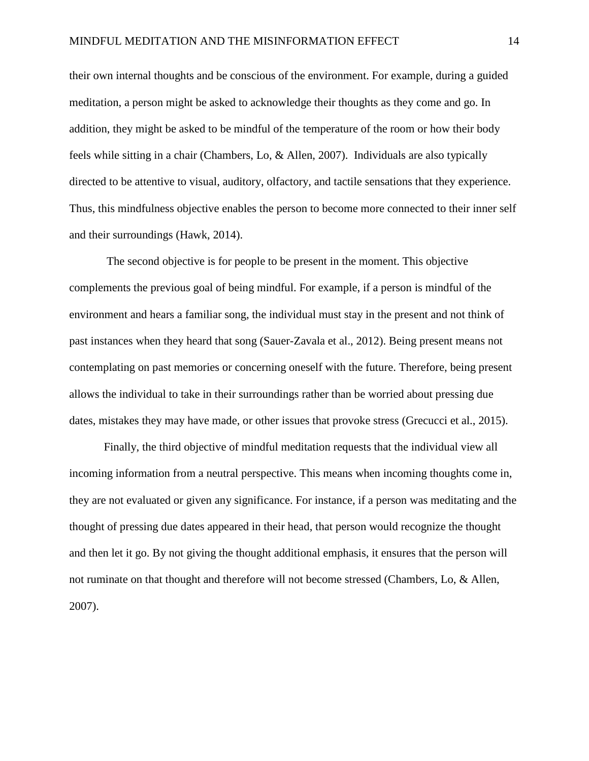their own internal thoughts and be conscious of the environment. For example, during a guided meditation, a person might be asked to acknowledge their thoughts as they come and go. In addition, they might be asked to be mindful of the temperature of the room or how their body feels while sitting in a chair (Chambers, Lo, & Allen, 2007). Individuals are also typically directed to be attentive to visual, auditory, olfactory, and tactile sensations that they experience. Thus, this mindfulness objective enables the person to become more connected to their inner self and their surroundings (Hawk, 2014).

The second objective is for people to be present in the moment. This objective complements the previous goal of being mindful. For example, if a person is mindful of the environment and hears a familiar song, the individual must stay in the present and not think of past instances when they heard that song (Sauer-Zavala et al., 2012). Being present means not contemplating on past memories or concerning oneself with the future. Therefore, being present allows the individual to take in their surroundings rather than be worried about pressing due dates, mistakes they may have made, or other issues that provoke stress (Grecucci et al., 2015).

Finally, the third objective of mindful meditation requests that the individual view all incoming information from a neutral perspective. This means when incoming thoughts come in, they are not evaluated or given any significance. For instance, if a person was meditating and the thought of pressing due dates appeared in their head, that person would recognize the thought and then let it go. By not giving the thought additional emphasis, it ensures that the person will not ruminate on that thought and therefore will not become stressed (Chambers, Lo, & Allen, 2007).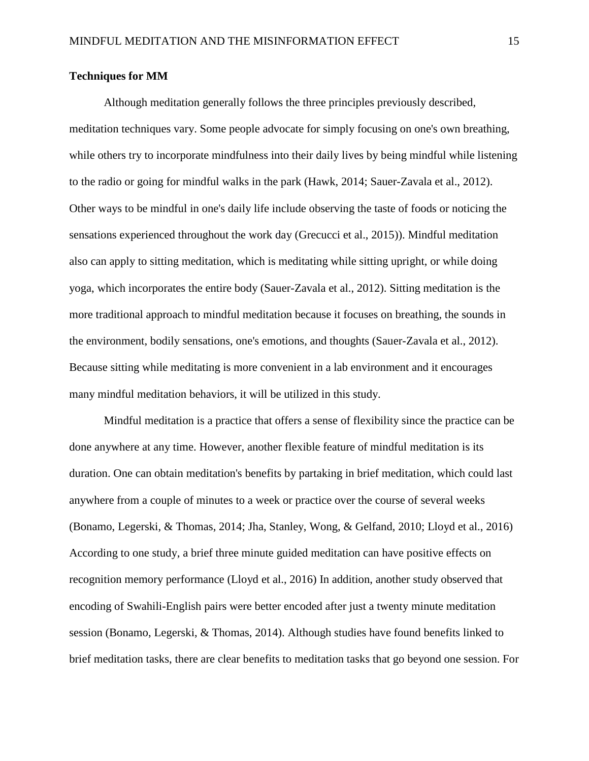### **Techniques for MM**

Although meditation generally follows the three principles previously described, meditation techniques vary. Some people advocate for simply focusing on one's own breathing, while others try to incorporate mindfulness into their daily lives by being mindful while listening to the radio or going for mindful walks in the park (Hawk, 2014; Sauer-Zavala et al., 2012). Other ways to be mindful in one's daily life include observing the taste of foods or noticing the sensations experienced throughout the work day (Grecucci et al., 2015)). Mindful meditation also can apply to sitting meditation, which is meditating while sitting upright, or while doing yoga, which incorporates the entire body (Sauer-Zavala et al., 2012). Sitting meditation is the more traditional approach to mindful meditation because it focuses on breathing, the sounds in the environment, bodily sensations, one's emotions, and thoughts (Sauer-Zavala et al., 2012). Because sitting while meditating is more convenient in a lab environment and it encourages many mindful meditation behaviors, it will be utilized in this study.

Mindful meditation is a practice that offers a sense of flexibility since the practice can be done anywhere at any time. However, another flexible feature of mindful meditation is its duration. One can obtain meditation's benefits by partaking in brief meditation, which could last anywhere from a couple of minutes to a week or practice over the course of several weeks (Bonamo, Legerski, & Thomas, 2014; Jha, Stanley, Wong, & Gelfand, 2010; Lloyd et al., 2016) According to one study, a brief three minute guided meditation can have positive effects on recognition memory performance (Lloyd et al., 2016) In addition, another study observed that encoding of Swahili-English pairs were better encoded after just a twenty minute meditation session (Bonamo, Legerski, & Thomas, 2014). Although studies have found benefits linked to brief meditation tasks, there are clear benefits to meditation tasks that go beyond one session. For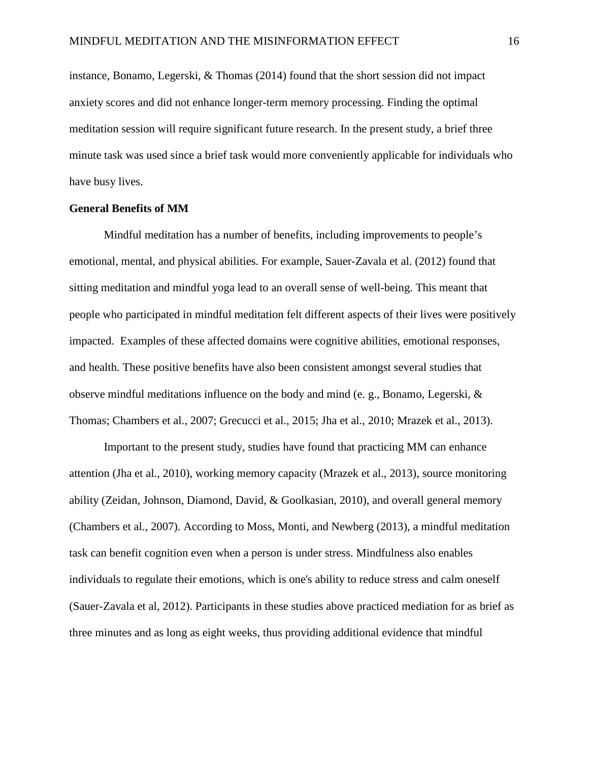instance, Bonamo, Legerski, & Thomas (2014) found that the short session did not impact anxiety scores and did not enhance longer-term memory processing. Finding the optimal meditation session will require significant future research. In the present study, a brief three minute task was used since a brief task would more conveniently applicable for individuals who have busy lives.

### **General Benefits of MM**

Mindful meditation has a number of benefits, including improvements to people's emotional, mental, and physical abilities. For example, Sauer-Zavala et al. (2012) found that sitting meditation and mindful yoga lead to an overall sense of well-being. This meant that people who participated in mindful meditation felt different aspects of their lives were positively impacted. Examples of these affected domains were cognitive abilities, emotional responses, and health. These positive benefits have also been consistent amongst several studies that observe mindful meditations influence on the body and mind (e. g., Bonamo, Legerski, & Thomas; Chambers et al., 2007; Grecucci et al., 2015; Jha et al., 2010; Mrazek et al., 2013).

Important to the present study, studies have found that practicing MM can enhance attention (Jha et al., 2010), working memory capacity (Mrazek et al., 2013), source monitoring ability (Zeidan, Johnson, Diamond, David, & Goolkasian, 2010), and overall general memory (Chambers et al., 2007). According to Moss, Monti, and Newberg (2013), a mindful meditation task can benefit cognition even when a person is under stress. Mindfulness also enables individuals to regulate their emotions, which is one's ability to reduce stress and calm oneself (Sauer-Zavala et al, 2012). Participants in these studies above practiced mediation for as brief as three minutes and as long as eight weeks, thus providing additional evidence that mindful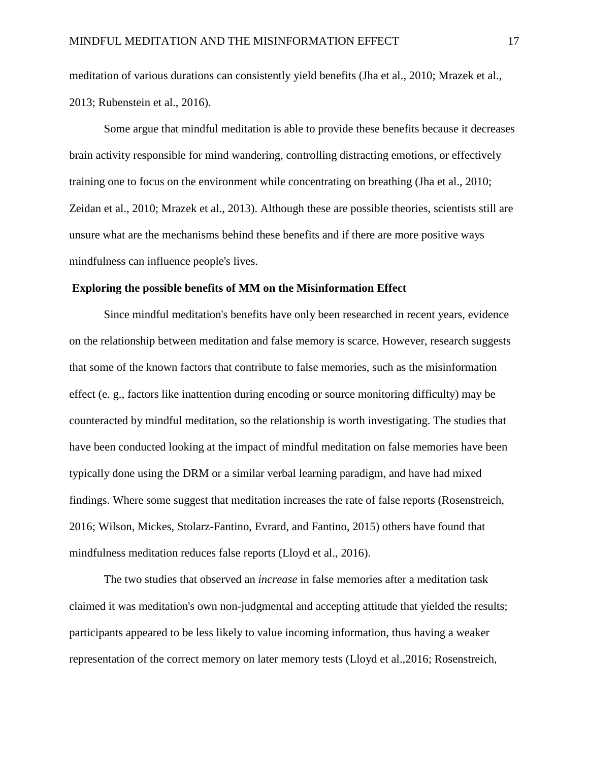meditation of various durations can consistently yield benefits (Jha et al., 2010; Mrazek et al., 2013; Rubenstein et al., 2016).

Some argue that mindful meditation is able to provide these benefits because it decreases brain activity responsible for mind wandering, controlling distracting emotions, or effectively training one to focus on the environment while concentrating on breathing (Jha et al., 2010; Zeidan et al., 2010; Mrazek et al., 2013). Although these are possible theories, scientists still are unsure what are the mechanisms behind these benefits and if there are more positive ways mindfulness can influence people's lives.

### **Exploring the possible benefits of MM on the Misinformation Effect**

Since mindful meditation's benefits have only been researched in recent years, evidence on the relationship between meditation and false memory is scarce. However, research suggests that some of the known factors that contribute to false memories, such as the misinformation effect (e. g., factors like inattention during encoding or source monitoring difficulty) may be counteracted by mindful meditation, so the relationship is worth investigating. The studies that have been conducted looking at the impact of mindful meditation on false memories have been typically done using the DRM or a similar verbal learning paradigm, and have had mixed findings. Where some suggest that meditation increases the rate of false reports (Rosenstreich, 2016; Wilson, Mickes, Stolarz-Fantino, Evrard, and Fantino, 2015) others have found that mindfulness meditation reduces false reports (Lloyd et al., 2016).

The two studies that observed an *increase* in false memories after a meditation task claimed it was meditation's own non-judgmental and accepting attitude that yielded the results; participants appeared to be less likely to value incoming information, thus having a weaker representation of the correct memory on later memory tests (Lloyd et al.,2016; Rosenstreich,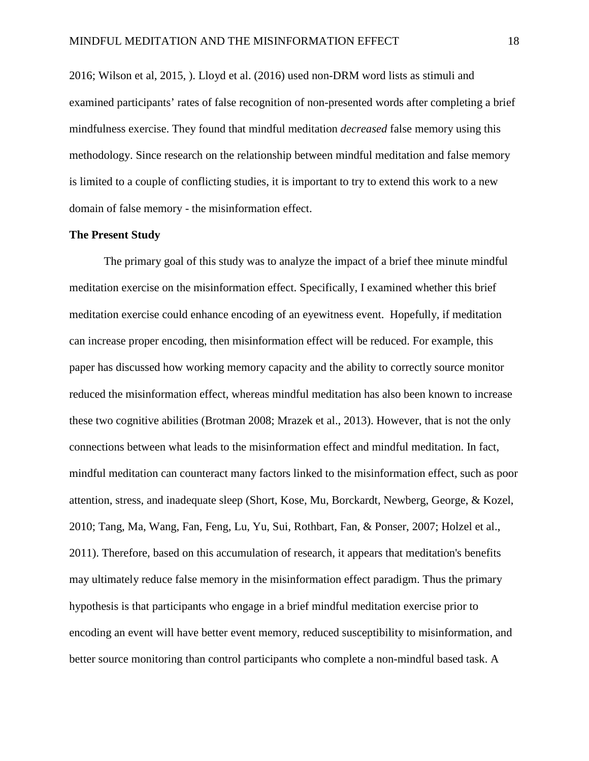2016; Wilson et al, 2015, ). Lloyd et al. (2016) used non-DRM word lists as stimuli and examined participants' rates of false recognition of non-presented words after completing a brief mindfulness exercise. They found that mindful meditation *decreased* false memory using this methodology. Since research on the relationship between mindful meditation and false memory is limited to a couple of conflicting studies, it is important to try to extend this work to a new domain of false memory - the misinformation effect.

## **The Present Study**

The primary goal of this study was to analyze the impact of a brief thee minute mindful meditation exercise on the misinformation effect. Specifically, I examined whether this brief meditation exercise could enhance encoding of an eyewitness event. Hopefully, if meditation can increase proper encoding, then misinformation effect will be reduced. For example, this paper has discussed how working memory capacity and the ability to correctly source monitor reduced the misinformation effect, whereas mindful meditation has also been known to increase these two cognitive abilities (Brotman 2008; Mrazek et al., 2013). However, that is not the only connections between what leads to the misinformation effect and mindful meditation. In fact, mindful meditation can counteract many factors linked to the misinformation effect, such as poor attention, stress, and inadequate sleep (Short, Kose, Mu, Borckardt, Newberg, George, & Kozel, 2010; Tang, Ma, Wang, Fan, Feng, Lu, Yu, Sui, Rothbart, Fan, & Ponser, 2007; Holzel et al., 2011). Therefore, based on this accumulation of research, it appears that meditation's benefits may ultimately reduce false memory in the misinformation effect paradigm. Thus the primary hypothesis is that participants who engage in a brief mindful meditation exercise prior to encoding an event will have better event memory, reduced susceptibility to misinformation, and better source monitoring than control participants who complete a non-mindful based task. A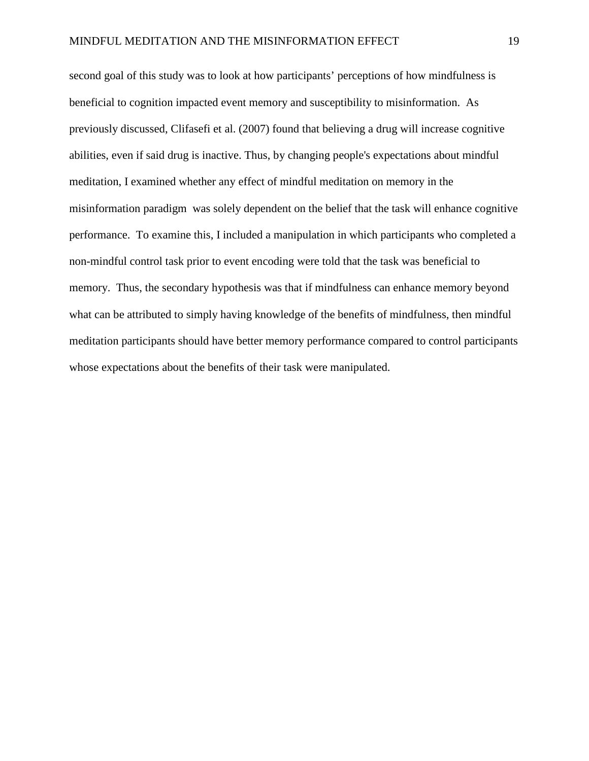second goal of this study was to look at how participants' perceptions of how mindfulness is beneficial to cognition impacted event memory and susceptibility to misinformation. As previously discussed, Clifasefi et al. (2007) found that believing a drug will increase cognitive abilities, even if said drug is inactive. Thus, by changing people's expectations about mindful meditation, I examined whether any effect of mindful meditation on memory in the misinformation paradigm was solely dependent on the belief that the task will enhance cognitive performance. To examine this, I included a manipulation in which participants who completed a non-mindful control task prior to event encoding were told that the task was beneficial to memory. Thus, the secondary hypothesis was that if mindfulness can enhance memory beyond what can be attributed to simply having knowledge of the benefits of mindfulness, then mindful meditation participants should have better memory performance compared to control participants whose expectations about the benefits of their task were manipulated.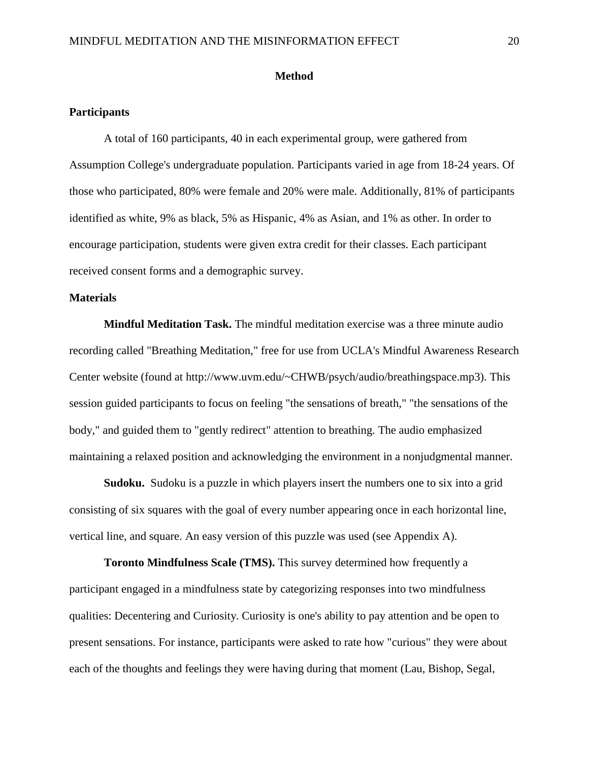### **Method**

### **Participants**

A total of 160 participants, 40 in each experimental group, were gathered from Assumption College's undergraduate population. Participants varied in age from 18-24 years. Of those who participated, 80% were female and 20% were male. Additionally, 81% of participants identified as white, 9% as black, 5% as Hispanic, 4% as Asian, and 1% as other. In order to encourage participation, students were given extra credit for their classes. Each participant received consent forms and a demographic survey.

## **Materials**

**Mindful Meditation Task.** The mindful meditation exercise was a three minute audio recording called "Breathing Meditation," free for use from UCLA's Mindful Awareness Research Center website (found at http://www.uvm.edu/~CHWB/psych/audio/breathingspace.mp3). This session guided participants to focus on feeling "the sensations of breath," "the sensations of the body," and guided them to "gently redirect" attention to breathing. The audio emphasized maintaining a relaxed position and acknowledging the environment in a nonjudgmental manner.

**Sudoku.** Sudoku is a puzzle in which players insert the numbers one to six into a grid consisting of six squares with the goal of every number appearing once in each horizontal line, vertical line, and square. An easy version of this puzzle was used (see Appendix A).

**Toronto Mindfulness Scale (TMS).** This survey determined how frequently a participant engaged in a mindfulness state by categorizing responses into two mindfulness qualities: Decentering and Curiosity. Curiosity is one's ability to pay attention and be open to present sensations. For instance, participants were asked to rate how "curious" they were about each of the thoughts and feelings they were having during that moment (Lau, Bishop, Segal,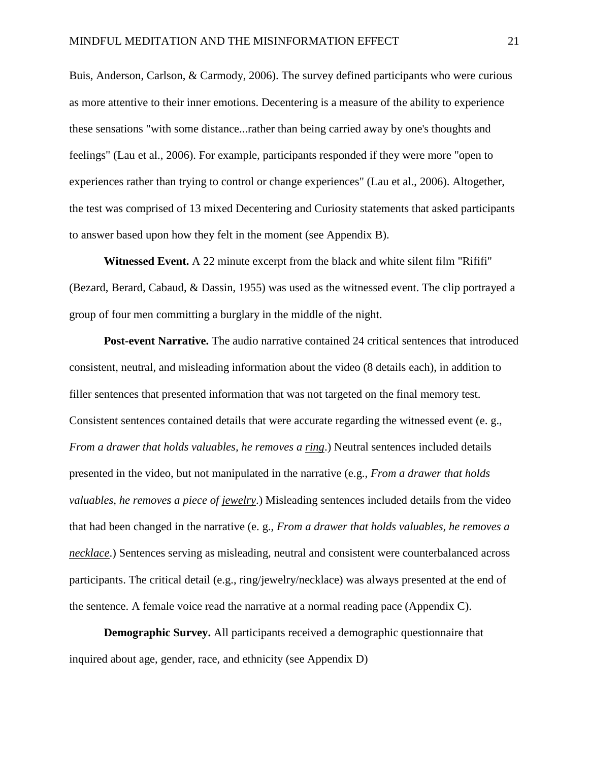Buis, Anderson, Carlson, & Carmody, 2006). The survey defined participants who were curious as more attentive to their inner emotions. Decentering is a measure of the ability to experience these sensations "with some distance...rather than being carried away by one's thoughts and feelings" (Lau et al., 2006). For example, participants responded if they were more "open to experiences rather than trying to control or change experiences" (Lau et al., 2006). Altogether, the test was comprised of 13 mixed Decentering and Curiosity statements that asked participants to answer based upon how they felt in the moment (see Appendix B).

**Witnessed Event.** A 22 minute excerpt from the black and white silent film "Rififi" (Bezard, Berard, Cabaud, & Dassin, 1955) was used as the witnessed event. The clip portrayed a group of four men committing a burglary in the middle of the night.

**Post-event Narrative.** The audio narrative contained 24 critical sentences that introduced consistent, neutral, and misleading information about the video (8 details each), in addition to filler sentences that presented information that was not targeted on the final memory test. Consistent sentences contained details that were accurate regarding the witnessed event (e. g., *From a drawer that holds valuables, he removes a ring*.) Neutral sentences included details presented in the video, but not manipulated in the narrative (e.g., *From a drawer that holds valuables, he removes a piece of jewelry*.) Misleading sentences included details from the video that had been changed in the narrative (e. g., *From a drawer that holds valuables, he removes a necklace*.) Sentences serving as misleading, neutral and consistent were counterbalanced across participants. The critical detail (e.g., ring/jewelry/necklace) was always presented at the end of the sentence. A female voice read the narrative at a normal reading pace (Appendix C).

**Demographic Survey.** All participants received a demographic questionnaire that inquired about age, gender, race, and ethnicity (see Appendix D)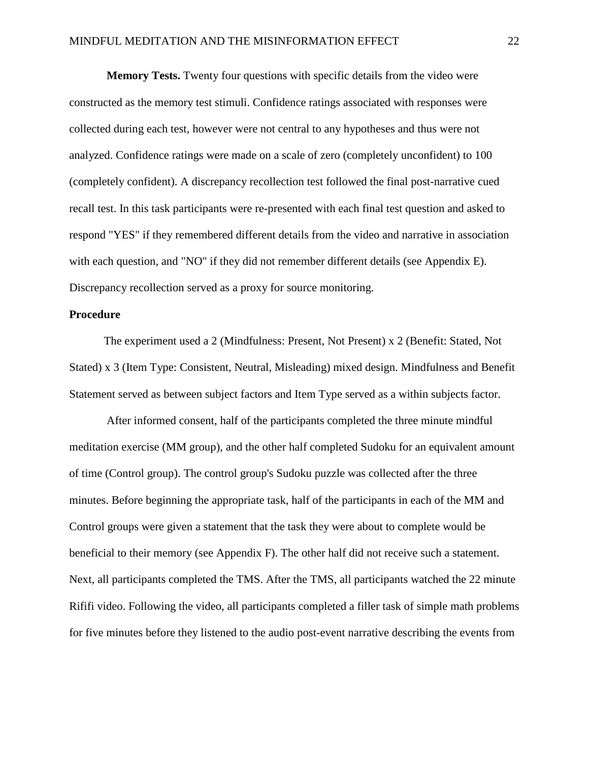**Memory Tests.** Twenty four questions with specific details from the video were constructed as the memory test stimuli. Confidence ratings associated with responses were collected during each test, however were not central to any hypotheses and thus were not analyzed. Confidence ratings were made on a scale of zero (completely unconfident) to 100 (completely confident). A discrepancy recollection test followed the final post-narrative cued recall test. In this task participants were re-presented with each final test question and asked to respond "YES" if they remembered different details from the video and narrative in association with each question, and "NO" if they did not remember different details (see Appendix E). Discrepancy recollection served as a proxy for source monitoring.

### **Procedure**

The experiment used a 2 (Mindfulness: Present, Not Present) x 2 (Benefit: Stated, Not Stated) x 3 (Item Type: Consistent, Neutral, Misleading) mixed design. Mindfulness and Benefit Statement served as between subject factors and Item Type served as a within subjects factor.

After informed consent, half of the participants completed the three minute mindful meditation exercise (MM group), and the other half completed Sudoku for an equivalent amount of time (Control group). The control group's Sudoku puzzle was collected after the three minutes. Before beginning the appropriate task, half of the participants in each of the MM and Control groups were given a statement that the task they were about to complete would be beneficial to their memory (see Appendix F). The other half did not receive such a statement. Next, all participants completed the TMS. After the TMS, all participants watched the 22 minute Rififi video. Following the video, all participants completed a filler task of simple math problems for five minutes before they listened to the audio post-event narrative describing the events from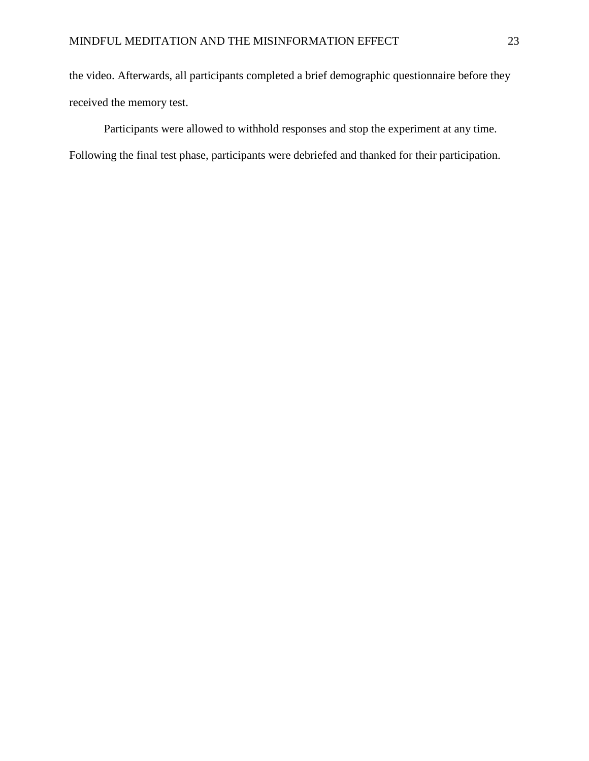the video. Afterwards, all participants completed a brief demographic questionnaire before they received the memory test.

Participants were allowed to withhold responses and stop the experiment at any time. Following the final test phase, participants were debriefed and thanked for their participation.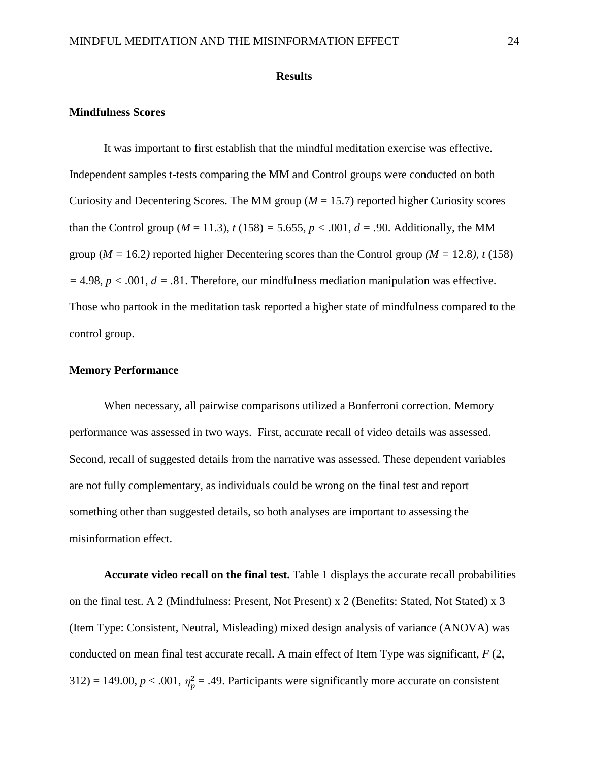#### **Results**

### **Mindfulness Scores**

It was important to first establish that the mindful meditation exercise was effective. Independent samples t-tests comparing the MM and Control groups were conducted on both Curiosity and Decentering Scores. The MM group  $(M = 15.7)$  reported higher Curiosity scores than the Control group ( $M = 11.3$ ),  $t (158) = 5.655$ ,  $p < .001$ ,  $d = .90$ . Additionally, the MM group ( $M = 16.2$ ) reported higher Decentering scores than the Control group ( $M = 12.8$ ), t (158) *=* 4.98, *p < .*001, *d = .*81. Therefore, our mindfulness mediation manipulation was effective. Those who partook in the meditation task reported a higher state of mindfulness compared to the control group.

### **Memory Performance**

When necessary, all pairwise comparisons utilized a Bonferroni correction. Memory performance was assessed in two ways. First, accurate recall of video details was assessed. Second, recall of suggested details from the narrative was assessed. These dependent variables are not fully complementary, as individuals could be wrong on the final test and report something other than suggested details, so both analyses are important to assessing the misinformation effect.

**Accurate video recall on the final test.** Table 1 displays the accurate recall probabilities on the final test. A 2 (Mindfulness: Present, Not Present) x 2 (Benefits: Stated, Not Stated) x 3 (Item Type: Consistent, Neutral, Misleading) mixed design analysis of variance (ANOVA) was conducted on mean final test accurate recall. A main effect of Item Type was significant, *F* (2, 312) = 149.00,  $p < .001$ ,  $\eta_p^2 = .49$ . Participants were significantly more accurate on consistent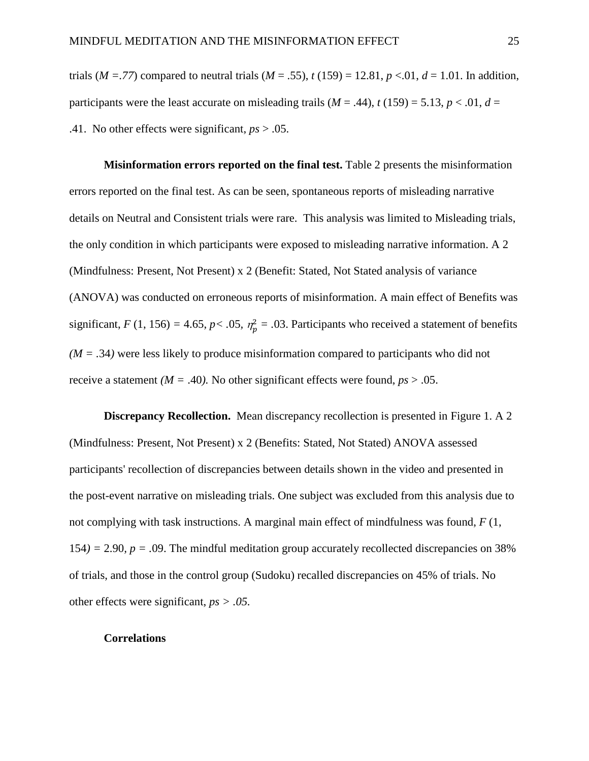trials (*M* = .77) compared to neutral trials (*M* = .55),  $t(159) = 12.81$ ,  $p < 0.01$ ,  $d = 1.01$ . In addition, participants were the least accurate on misleading trails  $(M = .44)$ ,  $t(159) = 5.13$ ,  $p < .01$ ,  $d =$ .41. No other effects were significant, *ps* > .05.

**Misinformation errors reported on the final test.** Table 2 presents the misinformation errors reported on the final test. As can be seen, spontaneous reports of misleading narrative details on Neutral and Consistent trials were rare. This analysis was limited to Misleading trials, the only condition in which participants were exposed to misleading narrative information. A 2 (Mindfulness: Present, Not Present) x 2 (Benefit: Stated, Not Stated analysis of variance (ANOVA) was conducted on erroneous reports of misinformation. A main effect of Benefits was significant, *F* (1, 156) = 4.65, *p* < .05,  $\eta_p^2$  = .03. Participants who received a statement of benefits  $(M = .34)$  were less likely to produce misinformation compared to participants who did not receive a statement *(M = .40)*. No other significant effects were found,  $ps > .05$ .

**Discrepancy Recollection.** Mean discrepancy recollection is presented in Figure 1. A 2 (Mindfulness: Present, Not Present) x 2 (Benefits: Stated, Not Stated) ANOVA assessed participants' recollection of discrepancies between details shown in the video and presented in the post-event narrative on misleading trials. One subject was excluded from this analysis due to not complying with task instructions. A marginal main effect of mindfulness was found, *F* (1, 154*) =* 2.90*, p = .*09. The mindful meditation group accurately recollected discrepancies on 38% of trials, and those in the control group (Sudoku) recalled discrepancies on 45% of trials. No other effects were significant, *ps > .05.* 

### **Correlations**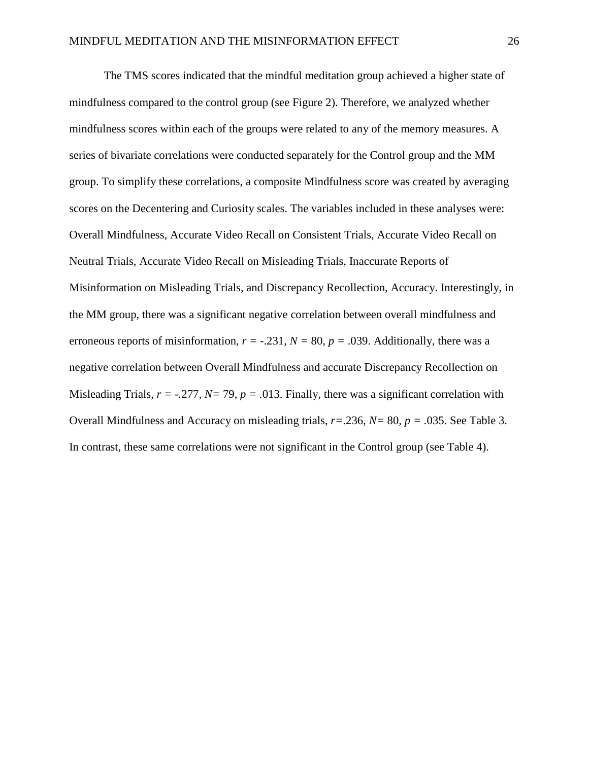The TMS scores indicated that the mindful meditation group achieved a higher state of mindfulness compared to the control group (see Figure 2). Therefore, we analyzed whether mindfulness scores within each of the groups were related to any of the memory measures. A series of bivariate correlations were conducted separately for the Control group and the MM group. To simplify these correlations, a composite Mindfulness score was created by averaging scores on the Decentering and Curiosity scales. The variables included in these analyses were: Overall Mindfulness, Accurate Video Recall on Consistent Trials, Accurate Video Recall on Neutral Trials, Accurate Video Recall on Misleading Trials, Inaccurate Reports of Misinformation on Misleading Trials, and Discrepancy Recollection, Accuracy. Interestingly, in the MM group, there was a significant negative correlation between overall mindfulness and erroneous reports of misinformation,  $r = -.231$ ,  $N = 80$ ,  $p = .039$ . Additionally, there was a negative correlation between Overall Mindfulness and accurate Discrepancy Recollection on Misleading Trials, *r = -.*277*, N=* 79, *p = .*013. Finally, there was a significant correlation with Overall Mindfulness and Accuracy on misleading trials, *r=*.236*, N=* 80*, p = .*035. See Table 3. In contrast, these same correlations were not significant in the Control group (see Table 4).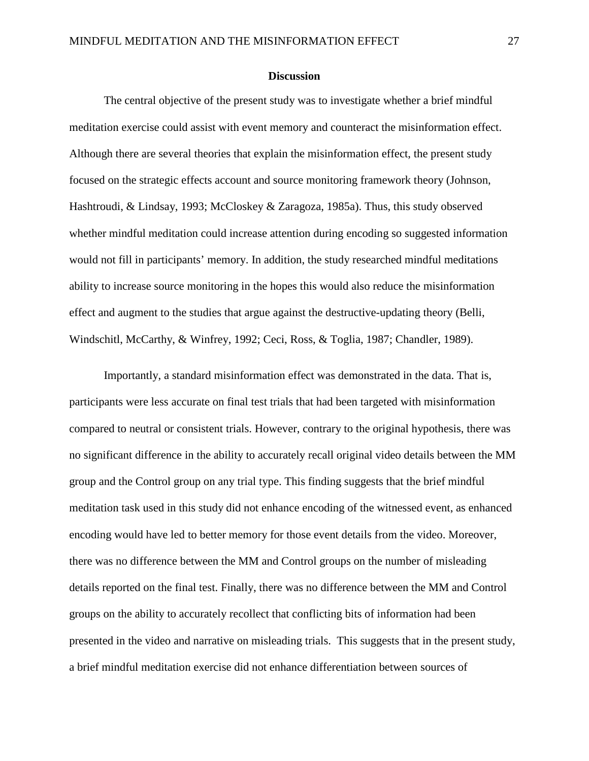### **Discussion**

The central objective of the present study was to investigate whether a brief mindful meditation exercise could assist with event memory and counteract the misinformation effect. Although there are several theories that explain the misinformation effect, the present study focused on the strategic effects account and source monitoring framework theory (Johnson, Hashtroudi, & Lindsay, 1993; McCloskey & Zaragoza, 1985a). Thus, this study observed whether mindful meditation could increase attention during encoding so suggested information would not fill in participants' memory. In addition, the study researched mindful meditations ability to increase source monitoring in the hopes this would also reduce the misinformation effect and augment to the studies that argue against the destructive-updating theory (Belli, Windschitl, McCarthy, & Winfrey, 1992; Ceci, Ross, & Toglia, 1987; Chandler, 1989).

Importantly, a standard misinformation effect was demonstrated in the data. That is, participants were less accurate on final test trials that had been targeted with misinformation compared to neutral or consistent trials. However, contrary to the original hypothesis, there was no significant difference in the ability to accurately recall original video details between the MM group and the Control group on any trial type. This finding suggests that the brief mindful meditation task used in this study did not enhance encoding of the witnessed event, as enhanced encoding would have led to better memory for those event details from the video. Moreover, there was no difference between the MM and Control groups on the number of misleading details reported on the final test. Finally, there was no difference between the MM and Control groups on the ability to accurately recollect that conflicting bits of information had been presented in the video and narrative on misleading trials. This suggests that in the present study, a brief mindful meditation exercise did not enhance differentiation between sources of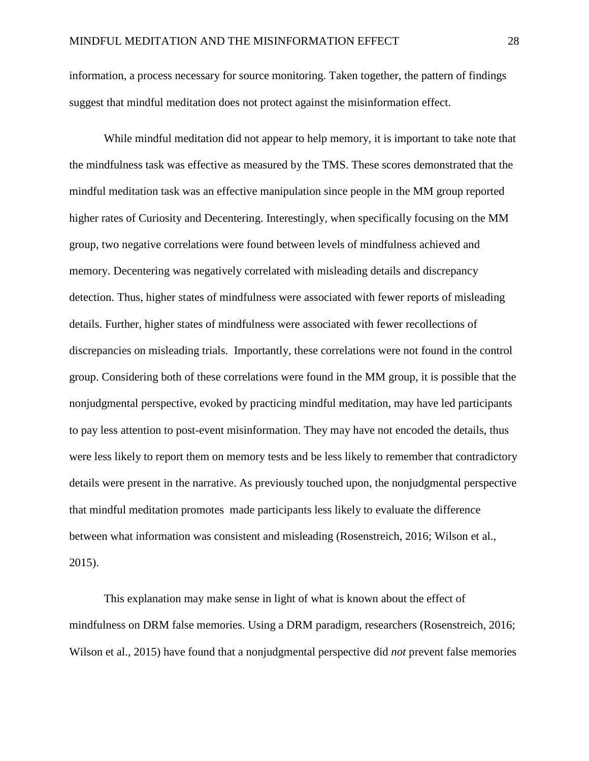information, a process necessary for source monitoring. Taken together, the pattern of findings suggest that mindful meditation does not protect against the misinformation effect.

While mindful meditation did not appear to help memory, it is important to take note that the mindfulness task was effective as measured by the TMS. These scores demonstrated that the mindful meditation task was an effective manipulation since people in the MM group reported higher rates of Curiosity and Decentering. Interestingly, when specifically focusing on the MM group, two negative correlations were found between levels of mindfulness achieved and memory. Decentering was negatively correlated with misleading details and discrepancy detection. Thus, higher states of mindfulness were associated with fewer reports of misleading details. Further, higher states of mindfulness were associated with fewer recollections of discrepancies on misleading trials. Importantly, these correlations were not found in the control group. Considering both of these correlations were found in the MM group, it is possible that the nonjudgmental perspective, evoked by practicing mindful meditation, may have led participants to pay less attention to post-event misinformation. They may have not encoded the details, thus were less likely to report them on memory tests and be less likely to remember that contradictory details were present in the narrative. As previously touched upon, the nonjudgmental perspective that mindful meditation promotes made participants less likely to evaluate the difference between what information was consistent and misleading (Rosenstreich, 2016; Wilson et al., 2015).

This explanation may make sense in light of what is known about the effect of mindfulness on DRM false memories. Using a DRM paradigm, researchers (Rosenstreich, 2016; Wilson et al., 2015) have found that a nonjudgmental perspective did *not* prevent false memories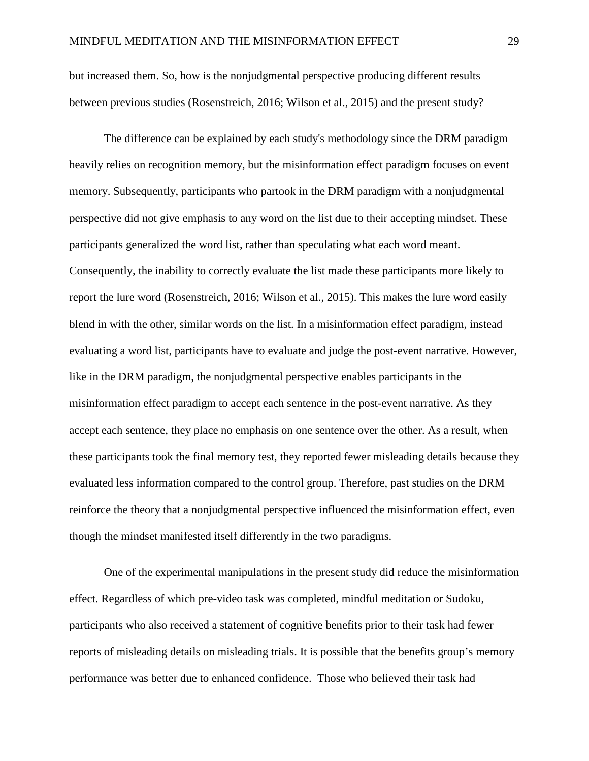but increased them. So, how is the nonjudgmental perspective producing different results between previous studies (Rosenstreich, 2016; Wilson et al., 2015) and the present study?

The difference can be explained by each study's methodology since the DRM paradigm heavily relies on recognition memory, but the misinformation effect paradigm focuses on event memory. Subsequently, participants who partook in the DRM paradigm with a nonjudgmental perspective did not give emphasis to any word on the list due to their accepting mindset. These participants generalized the word list, rather than speculating what each word meant. Consequently, the inability to correctly evaluate the list made these participants more likely to report the lure word (Rosenstreich, 2016; Wilson et al., 2015). This makes the lure word easily blend in with the other, similar words on the list. In a misinformation effect paradigm, instead evaluating a word list, participants have to evaluate and judge the post-event narrative. However, like in the DRM paradigm, the nonjudgmental perspective enables participants in the misinformation effect paradigm to accept each sentence in the post-event narrative. As they accept each sentence, they place no emphasis on one sentence over the other. As a result, when these participants took the final memory test, they reported fewer misleading details because they evaluated less information compared to the control group. Therefore, past studies on the DRM reinforce the theory that a nonjudgmental perspective influenced the misinformation effect, even though the mindset manifested itself differently in the two paradigms.

One of the experimental manipulations in the present study did reduce the misinformation effect. Regardless of which pre-video task was completed, mindful meditation or Sudoku, participants who also received a statement of cognitive benefits prior to their task had fewer reports of misleading details on misleading trials. It is possible that the benefits group's memory performance was better due to enhanced confidence. Those who believed their task had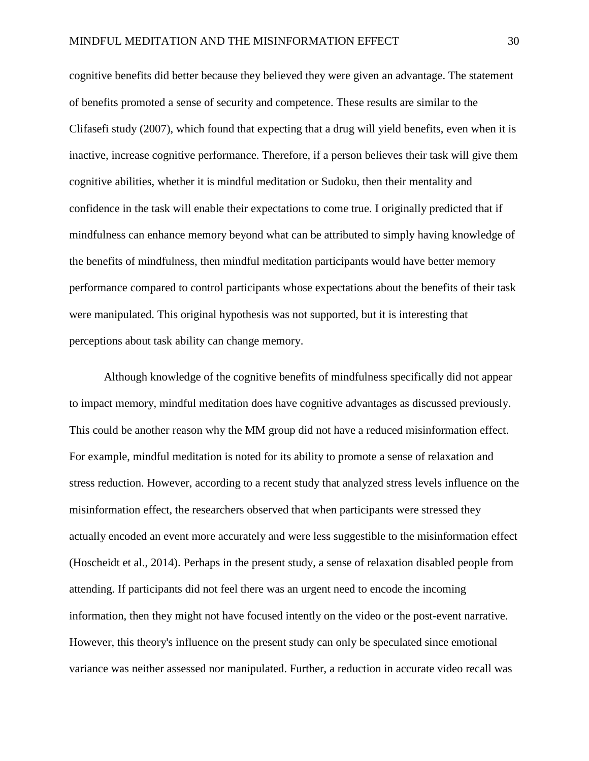cognitive benefits did better because they believed they were given an advantage. The statement of benefits promoted a sense of security and competence. These results are similar to the Clifasefi study (2007), which found that expecting that a drug will yield benefits, even when it is inactive, increase cognitive performance. Therefore, if a person believes their task will give them cognitive abilities, whether it is mindful meditation or Sudoku, then their mentality and confidence in the task will enable their expectations to come true. I originally predicted that if mindfulness can enhance memory beyond what can be attributed to simply having knowledge of the benefits of mindfulness, then mindful meditation participants would have better memory performance compared to control participants whose expectations about the benefits of their task were manipulated. This original hypothesis was not supported, but it is interesting that perceptions about task ability can change memory.

Although knowledge of the cognitive benefits of mindfulness specifically did not appear to impact memory, mindful meditation does have cognitive advantages as discussed previously. This could be another reason why the MM group did not have a reduced misinformation effect. For example, mindful meditation is noted for its ability to promote a sense of relaxation and stress reduction. However, according to a recent study that analyzed stress levels influence on the misinformation effect, the researchers observed that when participants were stressed they actually encoded an event more accurately and were less suggestible to the misinformation effect (Hoscheidt et al., 2014). Perhaps in the present study, a sense of relaxation disabled people from attending. If participants did not feel there was an urgent need to encode the incoming information, then they might not have focused intently on the video or the post-event narrative. However, this theory's influence on the present study can only be speculated since emotional variance was neither assessed nor manipulated. Further, a reduction in accurate video recall was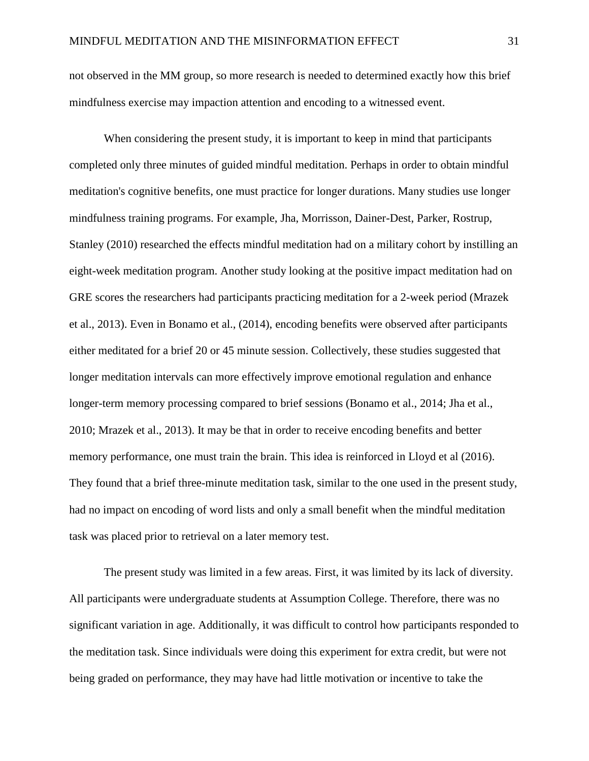not observed in the MM group, so more research is needed to determined exactly how this brief mindfulness exercise may impaction attention and encoding to a witnessed event.

When considering the present study, it is important to keep in mind that participants completed only three minutes of guided mindful meditation. Perhaps in order to obtain mindful meditation's cognitive benefits, one must practice for longer durations. Many studies use longer mindfulness training programs. For example, Jha, Morrisson, Dainer-Dest, Parker, Rostrup, Stanley (2010) researched the effects mindful meditation had on a military cohort by instilling an eight-week meditation program. Another study looking at the positive impact meditation had on GRE scores the researchers had participants practicing meditation for a 2-week period (Mrazek et al., 2013). Even in Bonamo et al., (2014), encoding benefits were observed after participants either meditated for a brief 20 or 45 minute session. Collectively, these studies suggested that longer meditation intervals can more effectively improve emotional regulation and enhance longer-term memory processing compared to brief sessions (Bonamo et al., 2014; Jha et al., 2010; Mrazek et al., 2013). It may be that in order to receive encoding benefits and better memory performance, one must train the brain. This idea is reinforced in Lloyd et al (2016). They found that a brief three-minute meditation task, similar to the one used in the present study, had no impact on encoding of word lists and only a small benefit when the mindful meditation task was placed prior to retrieval on a later memory test.

The present study was limited in a few areas. First, it was limited by its lack of diversity. All participants were undergraduate students at Assumption College. Therefore, there was no significant variation in age. Additionally, it was difficult to control how participants responded to the meditation task. Since individuals were doing this experiment for extra credit, but were not being graded on performance, they may have had little motivation or incentive to take the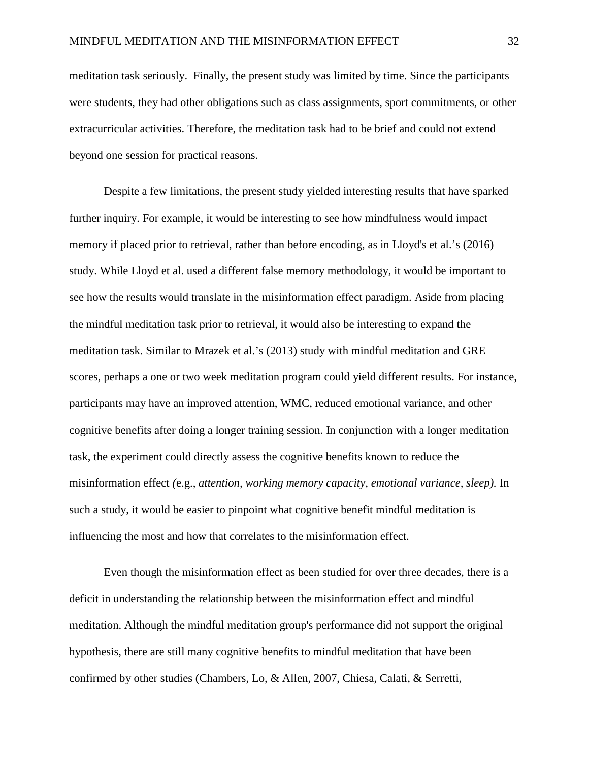meditation task seriously. Finally, the present study was limited by time. Since the participants were students, they had other obligations such as class assignments, sport commitments, or other extracurricular activities. Therefore, the meditation task had to be brief and could not extend beyond one session for practical reasons.

Despite a few limitations, the present study yielded interesting results that have sparked further inquiry. For example, it would be interesting to see how mindfulness would impact memory if placed prior to retrieval, rather than before encoding, as in Lloyd's et al.'s (2016) study. While Lloyd et al. used a different false memory methodology, it would be important to see how the results would translate in the misinformation effect paradigm. Aside from placing the mindful meditation task prior to retrieval, it would also be interesting to expand the meditation task. Similar to Mrazek et al.'s (2013) study with mindful meditation and GRE scores, perhaps a one or two week meditation program could yield different results. For instance, participants may have an improved attention, WMC, reduced emotional variance, and other cognitive benefits after doing a longer training session. In conjunction with a longer meditation task, the experiment could directly assess the cognitive benefits known to reduce the misinformation effect *(*e.g., *attention, working memory capacity, emotional variance, sleep).* In such a study, it would be easier to pinpoint what cognitive benefit mindful meditation is influencing the most and how that correlates to the misinformation effect.

Even though the misinformation effect as been studied for over three decades, there is a deficit in understanding the relationship between the misinformation effect and mindful meditation. Although the mindful meditation group's performance did not support the original hypothesis, there are still many cognitive benefits to mindful meditation that have been confirmed by other studies (Chambers, Lo, & Allen, 2007, Chiesa, Calati, & Serretti,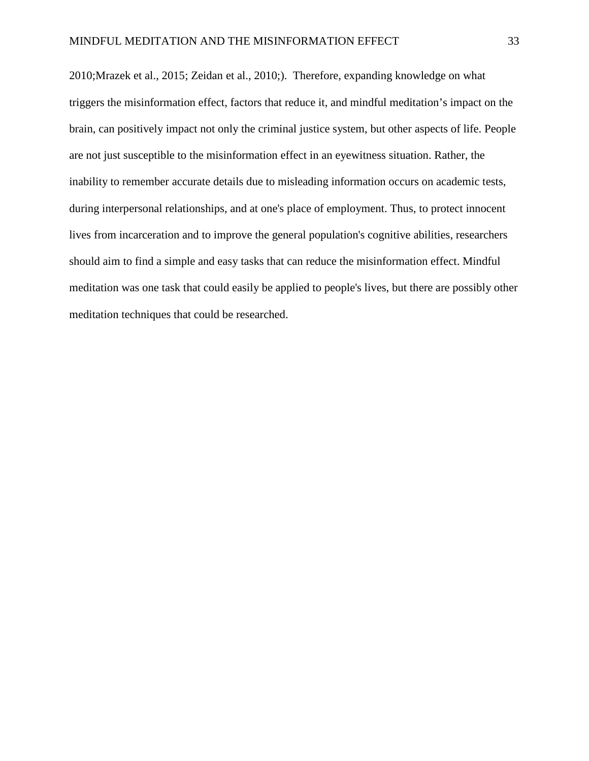2010;Mrazek et al., 2015; Zeidan et al., 2010;). Therefore, expanding knowledge on what triggers the misinformation effect, factors that reduce it, and mindful meditation's impact on the brain, can positively impact not only the criminal justice system, but other aspects of life. People are not just susceptible to the misinformation effect in an eyewitness situation. Rather, the inability to remember accurate details due to misleading information occurs on academic tests, during interpersonal relationships, and at one's place of employment. Thus, to protect innocent lives from incarceration and to improve the general population's cognitive abilities, researchers should aim to find a simple and easy tasks that can reduce the misinformation effect. Mindful meditation was one task that could easily be applied to people's lives, but there are possibly other meditation techniques that could be researched.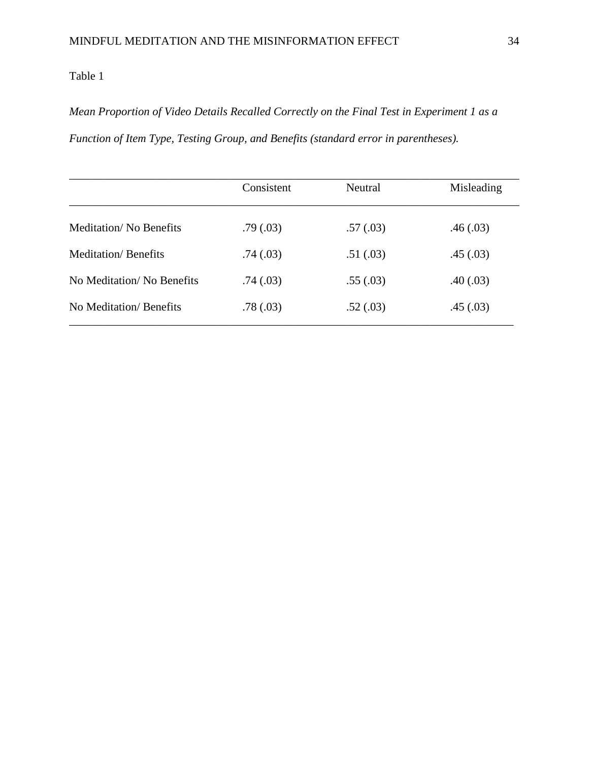# *Mean Proportion of Video Details Recalled Correctly on the Final Test in Experiment 1 as a Function of Item Type, Testing Group, and Benefits (standard error in parentheses).*

|                               | Consistent | Neutral   | Misleading |  |
|-------------------------------|------------|-----------|------------|--|
| <b>Meditation/No Benefits</b> | .79(0.03)  | .57(0.03) | .46(.03)   |  |
| <b>Meditation</b> / Benefits  | .74(.03)   | .51(.03)  | .45(.03)   |  |
| No Meditation/No Benefits     | .74(.03)   | .55(.03)  | .40(0.03)  |  |
| No Meditation/Benefits        | .78(.03)   | .52(.03)  | .45(.03)   |  |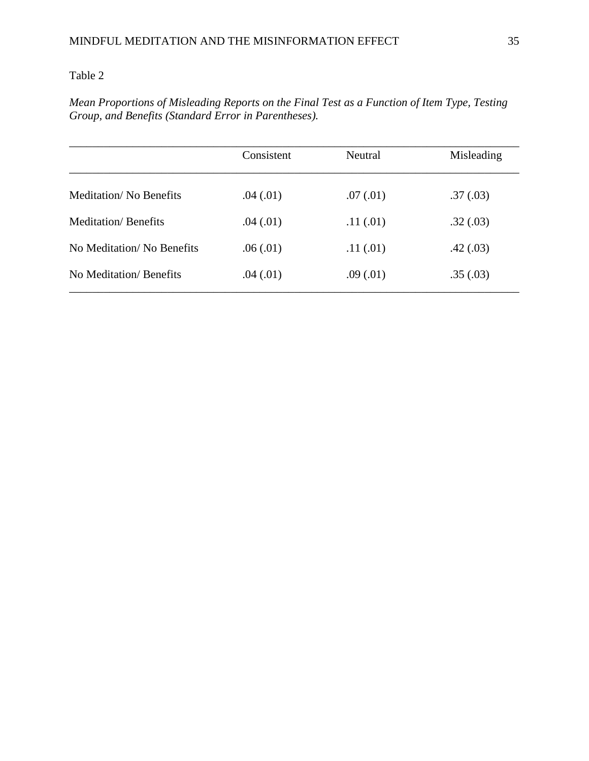*Mean Proportions of Misleading Reports on the Final Test as a Function of Item Type, Testing Group, and Benefits (Standard Error in Parentheses).* 

|                               | Consistent | Neutral   | Misleading |  |
|-------------------------------|------------|-----------|------------|--|
| <b>Meditation/No Benefits</b> | .04(.01)   | .07(0.01) | .37(.03)   |  |
| <b>Meditation/ Benefits</b>   | .04(.01)   | .11(.01)  | .32(.03)   |  |
| No Meditation/No Benefits     | .06(.01)   | .11(.01)  | .42(.03)   |  |
| No Meditation/ Benefits       | .04(.01)   | .09(0.01) | .35(.03)   |  |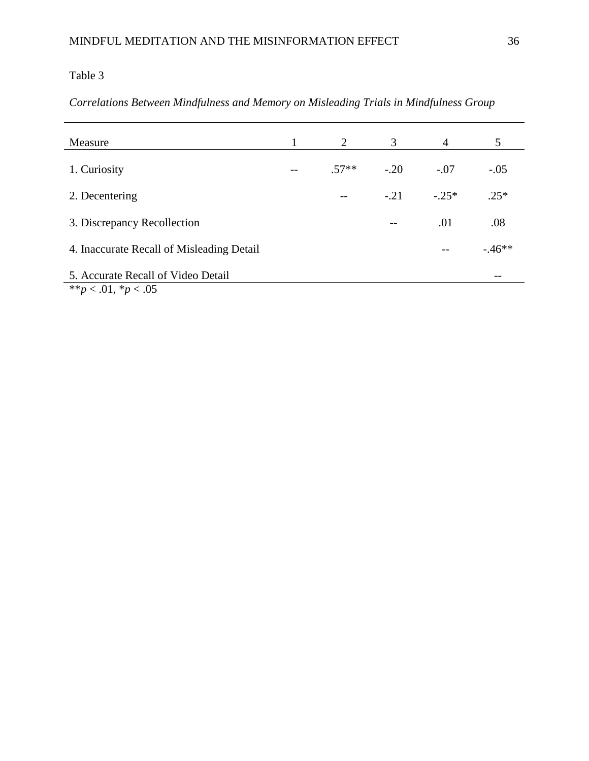# *Correlations Between Mindfulness and Memory on Misleading Trials in Mindfulness Group*

| Measure                                                          | 2       | 3      | $\overline{4}$ | 5       |
|------------------------------------------------------------------|---------|--------|----------------|---------|
| 1. Curiosity                                                     | $.57**$ | $-.20$ | $-.07$         | $-.05$  |
| 2. Decentering                                                   |         | $-.21$ | $-.25*$        | $.25*$  |
| 3. Discrepancy Recollection                                      |         | --     | .01            | .08     |
| 4. Inaccurate Recall of Misleading Detail                        |         |        |                | $-46**$ |
| 5. Accurate Recall of Video Detail<br>** $p < .01$ , * $p < .05$ |         |        |                | $- -$   |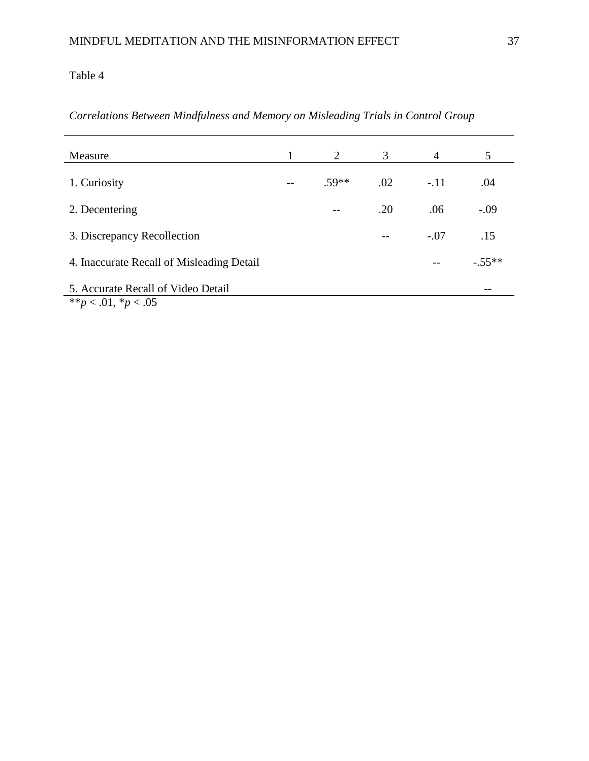*Correlations Between Mindfulness and Memory on Misleading Trials in Control Group*

| Measure                                                          | 2       | 3     | $\overline{4}$ | 5        |
|------------------------------------------------------------------|---------|-------|----------------|----------|
| 1. Curiosity                                                     | $.59**$ | .02   | $-.11$         | .04      |
| 2. Decentering                                                   | --      | .20   | .06            | $-.09$   |
| 3. Discrepancy Recollection                                      |         | $- -$ | $-.07$         | .15      |
| 4. Inaccurate Recall of Misleading Detail                        |         |       |                | $-.55**$ |
| 5. Accurate Recall of Video Detail<br>** $p < .01$ , * $p < .05$ |         |       |                | --       |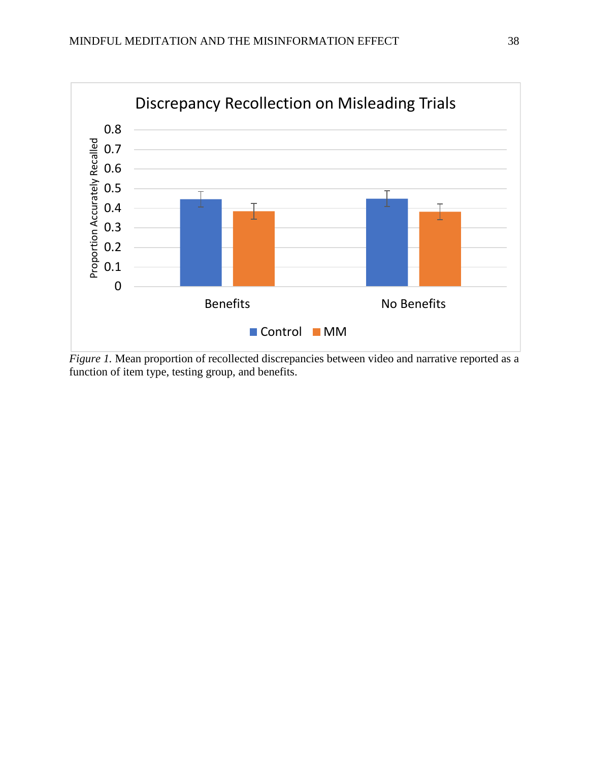

*Figure 1*. Mean proportion of recollected discrepancies between video and narrative reported as a function of item type, testing group, and benefits.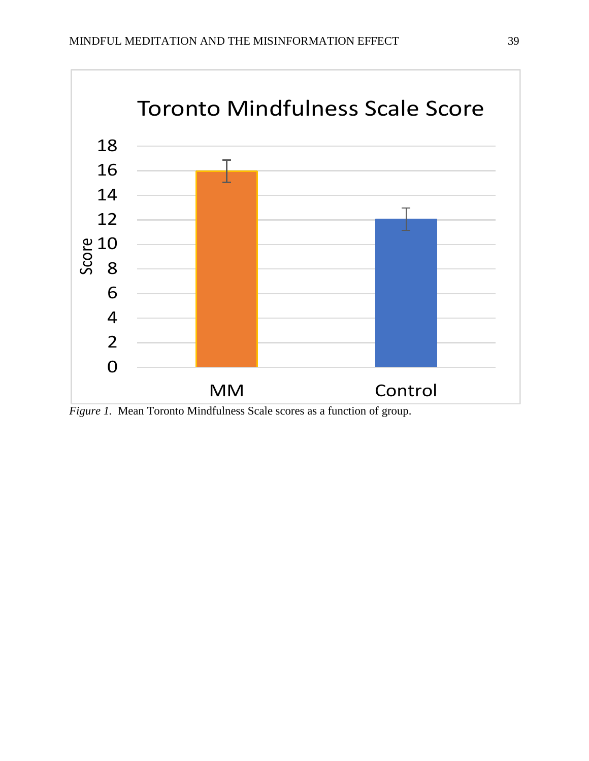

*Figure 1.* Mean Toronto Mindfulness Scale scores as a function of group.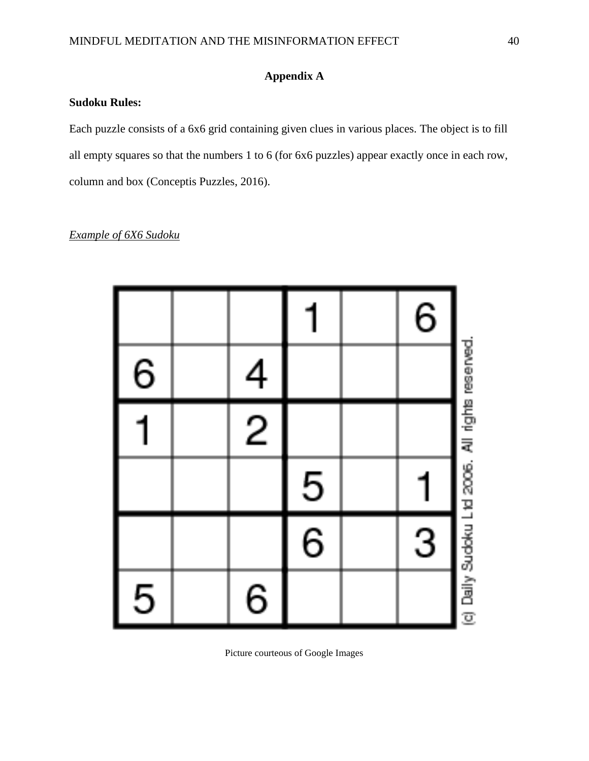# **Appendix A**

## **Sudoku Rules:**

Each puzzle consists of a 6x6 grid containing given clues in various places. The object is to fill all empty squares so that the numbers 1 to 6 (for 6x6 puzzles) appear exactly once in each row, column and box (Conceptis Puzzles, 2016).

# *Example of 6X6 Sudoku*

|   |                |               | $\,6$          |                                                |
|---|----------------|---------------|----------------|------------------------------------------------|
| 6 | $\overline{4}$ |               |                |                                                |
|   | $\overline{c}$ |               |                |                                                |
|   |                |               |                |                                                |
|   |                | $\frac{5}{6}$ | $\overline{3}$ |                                                |
| 5 | 6              |               |                | (c) Daily Sudoku Ltd 2006. All rights reserved |

Picture courteous of Google Images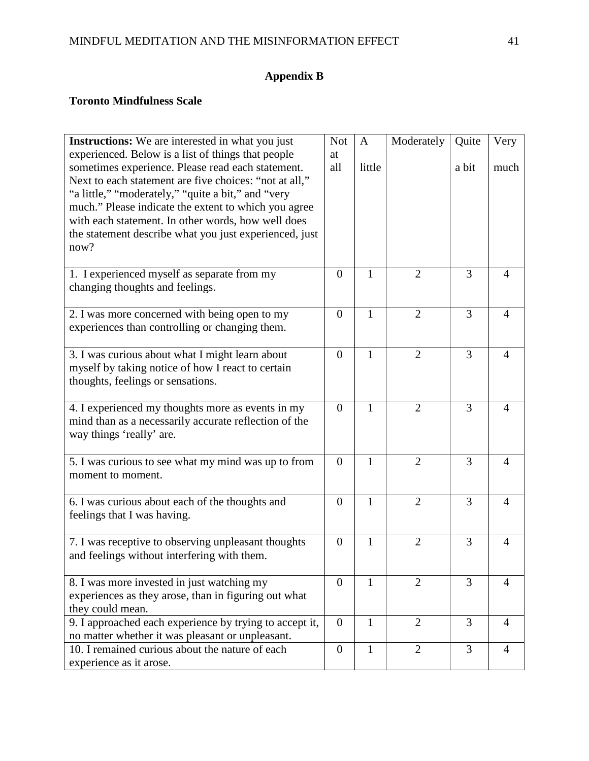# **Appendix B**

# **Toronto Mindfulness Scale**

| Instructions: We are interested in what you just                                                                                                                  | <b>Not</b>     | $\mathbf{A}$ | Moderately     | Quite | Very           |
|-------------------------------------------------------------------------------------------------------------------------------------------------------------------|----------------|--------------|----------------|-------|----------------|
| experienced. Below is a list of things that people<br>sometimes experience. Please read each statement.<br>Next to each statement are five choices: "not at all," | at<br>all      | little       |                | a bit | much           |
| "a little," "moderately," "quite a bit," and "very                                                                                                                |                |              |                |       |                |
| much." Please indicate the extent to which you agree                                                                                                              |                |              |                |       |                |
| with each statement. In other words, how well does                                                                                                                |                |              |                |       |                |
| the statement describe what you just experienced, just<br>now?                                                                                                    |                |              |                |       |                |
| 1. I experienced myself as separate from my                                                                                                                       | $\overline{0}$ | 1            | $\overline{2}$ | 3     | 4              |
| changing thoughts and feelings.                                                                                                                                   |                |              |                |       |                |
| 2. I was more concerned with being open to my                                                                                                                     | $\overline{0}$ | $\mathbf{1}$ | $\overline{2}$ | 3     | 4              |
| experiences than controlling or changing them.                                                                                                                    |                |              |                |       |                |
| 3. I was curious about what I might learn about                                                                                                                   | $\overline{0}$ | $\mathbf{1}$ | $\overline{2}$ | 3     | 4              |
| myself by taking notice of how I react to certain                                                                                                                 |                |              |                |       |                |
| thoughts, feelings or sensations.                                                                                                                                 |                |              |                |       |                |
| 4. I experienced my thoughts more as events in my                                                                                                                 | $\overline{0}$ | $\mathbf{1}$ | $\overline{2}$ | 3     | $\overline{4}$ |
| mind than as a necessarily accurate reflection of the                                                                                                             |                |              |                |       |                |
| way things 'really' are.                                                                                                                                          |                |              |                |       |                |
| 5. I was curious to see what my mind was up to from                                                                                                               | $\overline{0}$ | $\mathbf{1}$ | $\overline{2}$ | 3     | $\overline{4}$ |
| moment to moment.                                                                                                                                                 |                |              |                |       |                |
| 6. I was curious about each of the thoughts and                                                                                                                   | $\overline{0}$ | $\mathbf{1}$ | $\overline{2}$ | 3     | $\overline{4}$ |
| feelings that I was having.                                                                                                                                       |                |              |                |       |                |
| 7. I was receptive to observing unpleasant thoughts                                                                                                               | $\overline{0}$ | $\mathbf{1}$ | $\overline{2}$ | 3     | $\overline{4}$ |
| and feelings without interfering with them.                                                                                                                       |                |              |                |       |                |
|                                                                                                                                                                   |                |              |                |       |                |
| 8. I was more invested in just watching my<br>experiences as they arose, than in figuring out what                                                                | $\theta$       | 1            | 2              | 3     | 4              |
| they could mean.                                                                                                                                                  |                |              |                |       |                |
| 9. I approached each experience by trying to accept it,                                                                                                           | $\theta$       | $\mathbf{1}$ | $\overline{2}$ | 3     | $\overline{4}$ |
| no matter whether it was pleasant or unpleasant.                                                                                                                  |                |              |                |       |                |
| 10. I remained curious about the nature of each                                                                                                                   | $\overline{0}$ | $\mathbf{1}$ | $\overline{2}$ | 3     | $\overline{4}$ |
| experience as it arose.                                                                                                                                           |                |              |                |       |                |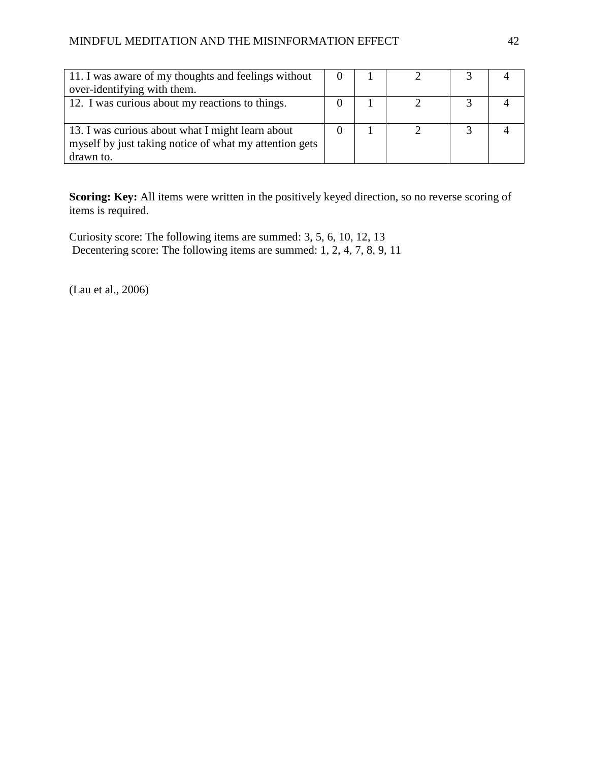| 11. I was aware of my thoughts and feelings without    |  |  |  |
|--------------------------------------------------------|--|--|--|
| over-identifying with them.                            |  |  |  |
| 12. I was curious about my reactions to things.        |  |  |  |
|                                                        |  |  |  |
| 13. I was curious about what I might learn about       |  |  |  |
| myself by just taking notice of what my attention gets |  |  |  |
| drawn to.                                              |  |  |  |

Scoring: Key: All items were written in the positively keyed direction, so no reverse scoring of items is required.

Curiosity score: The following items are summed: 3, 5, 6, 10, 12, 13 Decentering score: The following items are summed: 1, 2, 4, 7, 8, 9, 11

(Lau et al., 2006)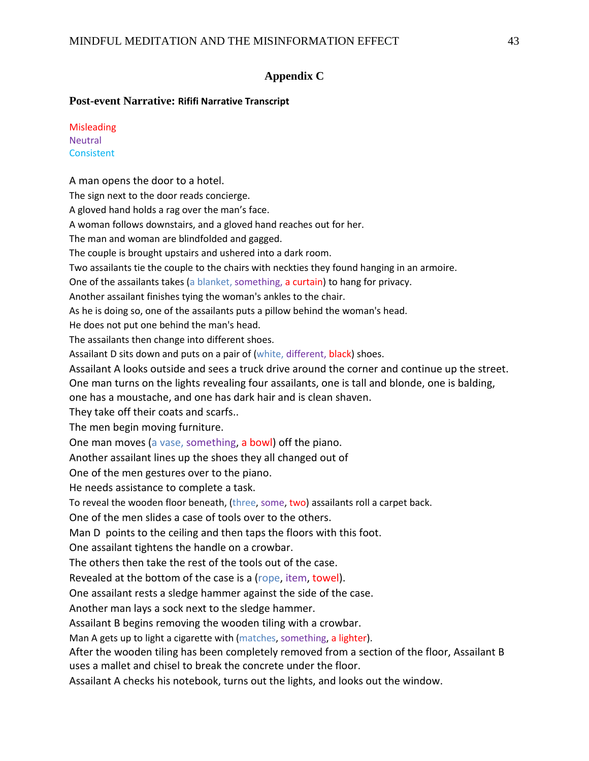## **Appendix C**

### **Post-event Narrative: Rififi Narrative Transcript**

| <b>Misleading</b> |
|-------------------|
| <b>Neutral</b>    |
| Consistent        |

A man opens the door to a hotel. The sign next to the door reads concierge. A gloved hand holds a rag over the man's face. A woman follows downstairs, and a gloved hand reaches out for her. The man and woman are blindfolded and gagged. The couple is brought upstairs and ushered into a dark room. Two assailants tie the couple to the chairs with neckties they found hanging in an armoire. One of the assailants takes (a blanket, something, a curtain) to hang for privacy. Another assailant finishes tying the woman's ankles to the chair. As he is doing so, one of the assailants puts a pillow behind the woman's head. He does not put one behind the man's head. The assailants then change into different shoes. Assailant D sits down and puts on a pair of (white, different, black) shoes. Assailant A looks outside and sees a truck drive around the corner and continue up the street. One man turns on the lights revealing four assailants, one is tall and blonde, one is balding, one has a moustache, and one has dark hair and is clean shaven. They take off their coats and scarfs.. The men begin moving furniture. One man moves (a vase, something, a bowl) off the piano. Another assailant lines up the shoes they all changed out of One of the men gestures over to the piano. He needs assistance to complete a task. To reveal the wooden floor beneath, (three, some, two) assailants roll a carpet back. One of the men slides a case of tools over to the others. Man D points to the ceiling and then taps the floors with this foot. One assailant tightens the handle on a crowbar. The others then take the rest of the tools out of the case. Revealed at the bottom of the case is a (rope, item, towel). One assailant rests a sledge hammer against the side of the case. Another man lays a sock next to the sledge hammer. Assailant B begins removing the wooden tiling with a crowbar. Man A gets up to light a cigarette with (matches, something, a lighter). After the wooden tiling has been completely removed from a section of the floor, Assailant B uses a mallet and chisel to break the concrete under the floor.

Assailant A checks his notebook, turns out the lights, and looks out the window.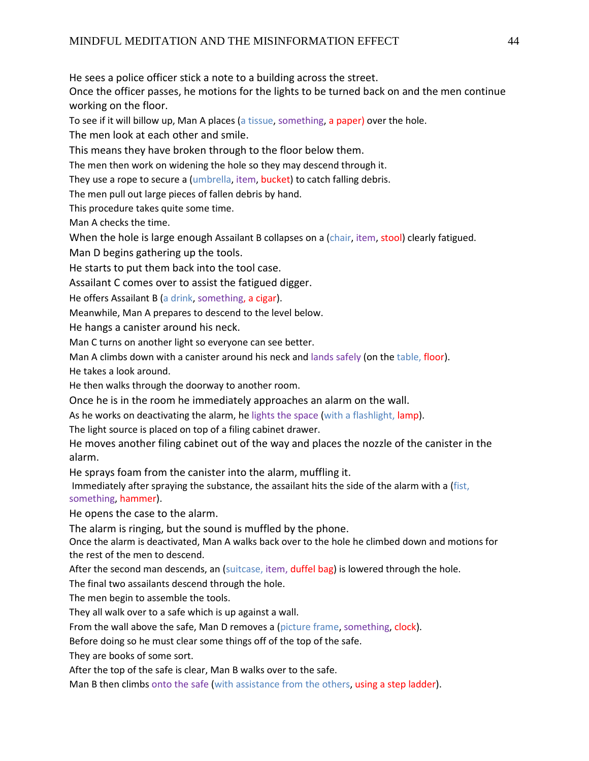He sees a police officer stick a note to a building across the street.

Once the officer passes, he motions for the lights to be turned back on and the men continue working on the floor.

To see if it will billow up, Man A places (a tissue, something, a paper) over the hole.

The men look at each other and smile.

This means they have broken through to the floor below them.

The men then work on widening the hole so they may descend through it.

They use a rope to secure a (umbrella, item, bucket) to catch falling debris.

The men pull out large pieces of fallen debris by hand.

This procedure takes quite some time.

Man A checks the time.

When the hole is large enough Assailant B collapses on a (chair, item, stool) clearly fatigued.

Man D begins gathering up the tools.

He starts to put them back into the tool case.

Assailant C comes over to assist the fatigued digger.

He offers Assailant B (a drink, something, a cigar).

Meanwhile, Man A prepares to descend to the level below.

He hangs a canister around his neck.

Man C turns on another light so everyone can see better.

Man A climbs down with a canister around his neck and lands safely (on the table, floor).

He takes a look around.

He then walks through the doorway to another room.

Once he is in the room he immediately approaches an alarm on the wall.

As he works on deactivating the alarm, he lights the space (with a flashlight, lamp).

The light source is placed on top of a filing cabinet drawer.

He moves another filing cabinet out of the way and places the nozzle of the canister in the alarm.

He sprays foam from the canister into the alarm, muffling it.

Immediately after spraying the substance, the assailant hits the side of the alarm with a (fist, something, hammer).

He opens the case to the alarm.

The alarm is ringing, but the sound is muffled by the phone.

Once the alarm is deactivated, Man A walks back over to the hole he climbed down and motions for the rest of the men to descend.

After the second man descends, an (suitcase, item, duffel bag) is lowered through the hole.

The final two assailants descend through the hole.

The men begin to assemble the tools.

They all walk over to a safe which is up against a wall.

From the wall above the safe, Man D removes a (picture frame, something, clock).

Before doing so he must clear some things off of the top of the safe.

They are books of some sort.

After the top of the safe is clear, Man B walks over to the safe.

Man B then climbs onto the safe (with assistance from the others, using a step ladder).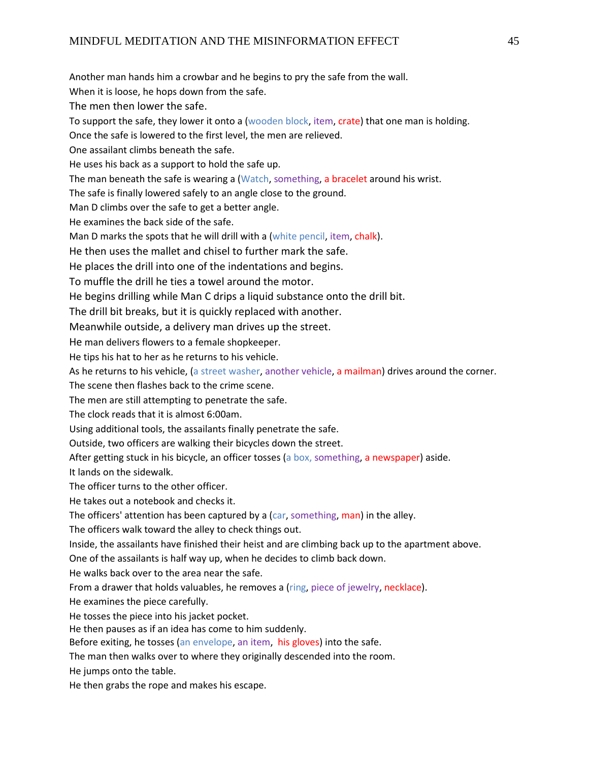Another man hands him a crowbar and he begins to pry the safe from the wall. When it is loose, he hops down from the safe. The men then lower the safe. To support the safe, they lower it onto a (wooden block, item, crate) that one man is holding. Once the safe is lowered to the first level, the men are relieved. One assailant climbs beneath the safe. He uses his back as a support to hold the safe up. The man beneath the safe is wearing a (Watch, something, a bracelet around his wrist. The safe is finally lowered safely to an angle close to the ground. Man D climbs over the safe to get a better angle. He examines the back side of the safe. Man D marks the spots that he will drill with a (white pencil, item, chalk). He then uses the mallet and chisel to further mark the safe. He places the drill into one of the indentations and begins. To muffle the drill he ties a towel around the motor. He begins drilling while Man C drips a liquid substance onto the drill bit. The drill bit breaks, but it is quickly replaced with another. Meanwhile outside, a delivery man drives up the street. He man delivers flowers to a female shopkeeper. He tips his hat to her as he returns to his vehicle. As he returns to his vehicle, (a street washer, another vehicle, a mailman) drives around the corner. The scene then flashes back to the crime scene. The men are still attempting to penetrate the safe. The clock reads that it is almost 6:00am. Using additional tools, the assailants finally penetrate the safe. Outside, two officers are walking their bicycles down the street. After getting stuck in his bicycle, an officer tosses (a box, something, a newspaper) aside. It lands on the sidewalk. The officer turns to the other officer. He takes out a notebook and checks it. The officers' attention has been captured by a (car, something, man) in the alley. The officers walk toward the alley to check things out. Inside, the assailants have finished their heist and are climbing back up to the apartment above. One of the assailants is half way up, when he decides to climb back down. He walks back over to the area near the safe. From a drawer that holds valuables, he removes a (ring, piece of jewelry, necklace). He examines the piece carefully. He tosses the piece into his jacket pocket. He then pauses as if an idea has come to him suddenly. Before exiting, he tosses (an envelope, an item, his gloves) into the safe. The man then walks over to where they originally descended into the room. He jumps onto the table. He then grabs the rope and makes his escape.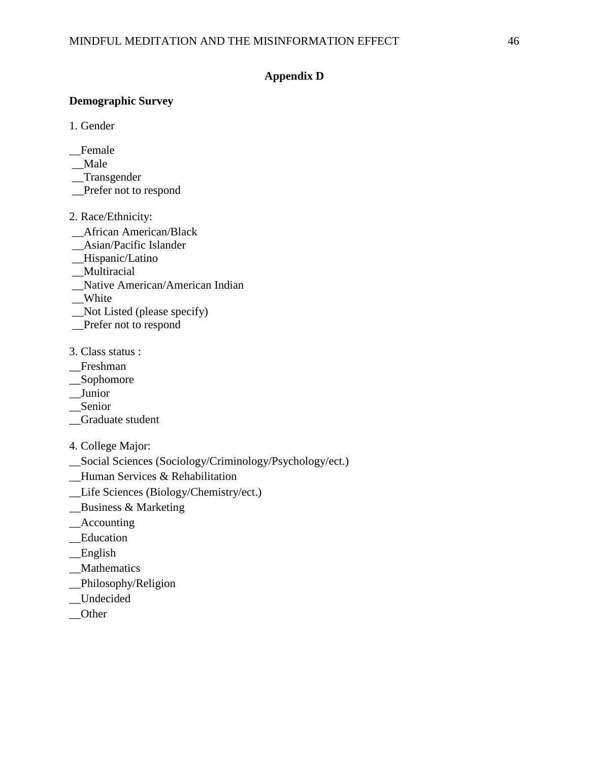## **Appendix D**

## **Demographic Survey**

- 1. Gender
- \_\_Female
- \_\_Male
- \_\_Transgender
- \_\_Prefer not to respond
- 2. Race/Ethnicity:
- \_\_African American/Black
- \_\_Asian/Pacific Islander
- \_\_Hispanic/Latino
- \_\_Multiracial
- \_\_Native American/American Indian
- \_\_White
- \_\_Not Listed (please specify)
- \_\_Prefer not to respond
- 3. Class status :
- \_\_Freshman
- \_\_Sophomore
- \_\_Junior
- \_\_Senior
- \_\_Graduate student
- 4. College Major:
- \_\_Social Sciences (Sociology/Criminology/Psychology/ect.)
- \_\_Human Services & Rehabilitation
- \_\_Life Sciences (Biology/Chemistry/ect.)
- \_\_Business & Marketing
- \_\_Accounting
- \_\_Education
- \_\_English
- \_\_Mathematics
- \_\_Philosophy/Religion
- \_\_Undecided
- \_\_Other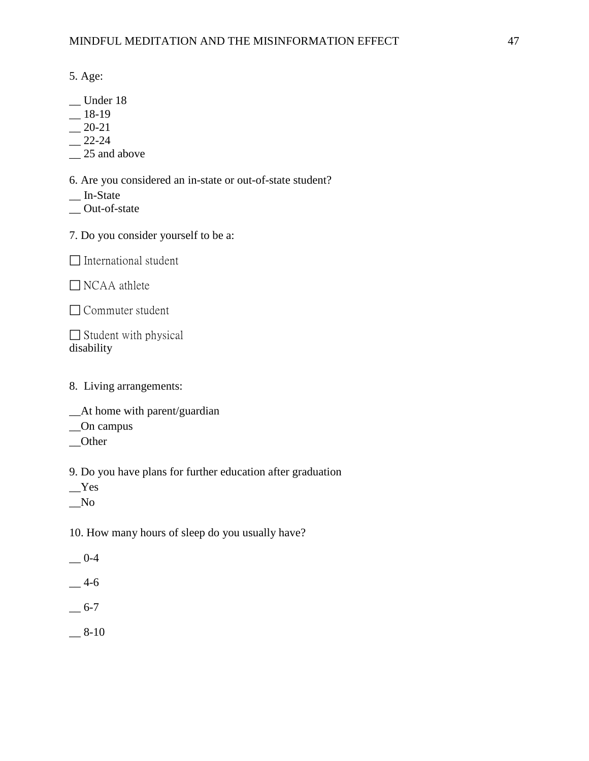5. Age:

- \_\_ Under 18
- $-$ 18-19
- $-20-21$
- $-$  22-24
- $\sim$  25 and above

6. Are you considered an in-state or out-of-state student?

- \_\_ In-State
- \_\_ Out-of-state
- 7. Do you consider yourself to be a:

 $\Box$  International student

□ NCAA athlete

□ Commuter student

 $\Box$  Student with physical disability

- 8. Living arrangements:
- \_\_At home with parent/guardian
- \_\_On campus
- \_\_Other

9. Do you have plans for further education after graduation

\_\_Yes

 $N<sub>0</sub>$ 

10. How many hours of sleep do you usually have?

 $-0-4$ 

- $-4-6$
- $-6-7$
- $-8-10$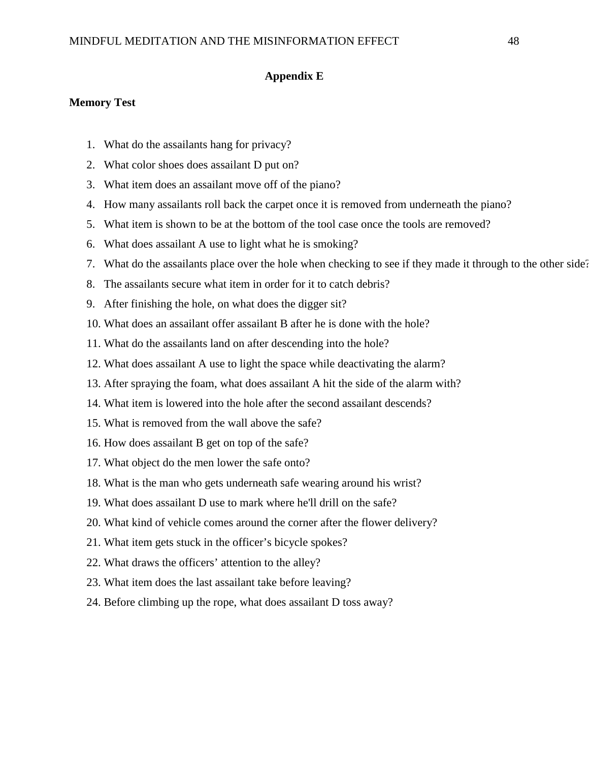### **Appendix E**

### **Memory Test**

- 1. What do the assailants hang for privacy?
- 2. What color shoes does assailant D put on?
- 3. What item does an assailant move off of the piano?
- 4. How many assailants roll back the carpet once it is removed from underneath the piano?
- 5. What item is shown to be at the bottom of the tool case once the tools are removed?
- 6. What does assailant A use to light what he is smoking?
- 7. What do the assailants place over the hole when checking to see if they made it through to the other side?
- 8. The assailants secure what item in order for it to catch debris?
- 9. After finishing the hole, on what does the digger sit?
- 10. What does an assailant offer assailant B after he is done with the hole?
- 11. What do the assailants land on after descending into the hole?
- 12. What does assailant A use to light the space while deactivating the alarm?
- 13. After spraying the foam, what does assailant A hit the side of the alarm with?
- 14. What item is lowered into the hole after the second assailant descends?
- 15. What is removed from the wall above the safe?
- 16. How does assailant B get on top of the safe?
- 17. What object do the men lower the safe onto?
- 18. What is the man who gets underneath safe wearing around his wrist?
- 19. What does assailant D use to mark where he'll drill on the safe?
- 20. What kind of vehicle comes around the corner after the flower delivery?
- 21. What item gets stuck in the officer's bicycle spokes?
- 22. What draws the officers' attention to the alley?
- 23. What item does the last assailant take before leaving?
- 24. Before climbing up the rope, what does assailant D toss away?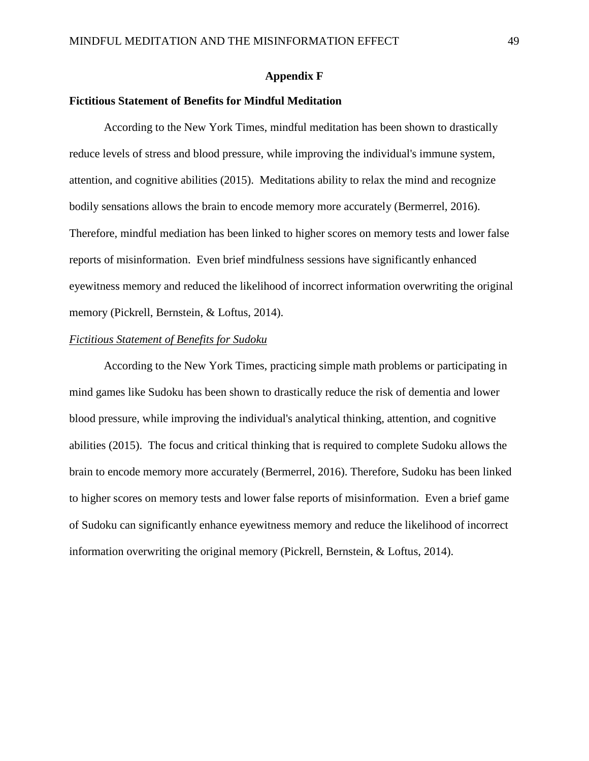### **Appendix F**

## **Fictitious Statement of Benefits for Mindful Meditation**

According to the New York Times, mindful meditation has been shown to drastically reduce levels of stress and blood pressure, while improving the individual's immune system, attention, and cognitive abilities (2015). Meditations ability to relax the mind and recognize bodily sensations allows the brain to encode memory more accurately (Bermerrel, 2016). Therefore, mindful mediation has been linked to higher scores on memory tests and lower false reports of misinformation. Even brief mindfulness sessions have significantly enhanced eyewitness memory and reduced the likelihood of incorrect information overwriting the original memory (Pickrell, Bernstein, & Loftus, 2014).

## *Fictitious Statement of Benefits for Sudoku*

According to the New York Times, practicing simple math problems or participating in mind games like Sudoku has been shown to drastically reduce the risk of dementia and lower blood pressure, while improving the individual's analytical thinking, attention, and cognitive abilities (2015). The focus and critical thinking that is required to complete Sudoku allows the brain to encode memory more accurately (Bermerrel, 2016). Therefore, Sudoku has been linked to higher scores on memory tests and lower false reports of misinformation. Even a brief game of Sudoku can significantly enhance eyewitness memory and reduce the likelihood of incorrect information overwriting the original memory (Pickrell, Bernstein, & Loftus, 2014).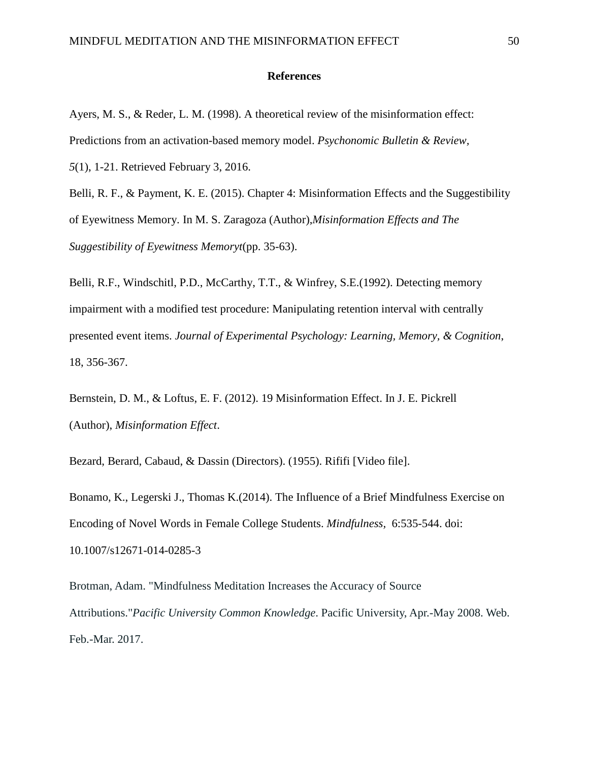### **References**

Ayers, M. S., & Reder, L. M. (1998). A theoretical review of the misinformation effect: Predictions from an activation-based memory model. *Psychonomic Bulletin & Review, 5*(1), 1-21. Retrieved February 3, 2016.

Belli, R. F., & Payment, K. E. (2015). Chapter 4: Misinformation Effects and the Suggestibility of Eyewitness Memory. In M. S. Zaragoza (Author),*Misinformation Effects and The Suggestibility of Eyewitness Memoryt*(pp. 35-63).

Belli, R.F., Windschitl, P.D., McCarthy, T.T., & Winfrey, S.E.(1992). Detecting memory impairment with a modified test procedure: Manipulating retention interval with centrally presented event items. *Journal of Experimental Psychology: Learning, Memory, & Cognition*, 18, 356-367.

Bernstein, D. M., & Loftus, E. F. (2012). 19 Misinformation Effect. In J. E. Pickrell (Author), *Misinformation Effect*.

Bezard, Berard, Cabaud, & Dassin (Directors). (1955). Rififi [Video file].

Bonamo, K., Legerski J., Thomas K.(2014). The Influence of a Brief Mindfulness Exercise on Encoding of Novel Words in Female College Students. *Mindfulness,* 6:535-544. doi: 10.1007/s12671-014-0285-3

Brotman, Adam. "Mindfulness Meditation Increases the Accuracy of Source Attributions."*Pacific University Common Knowledge*. Pacific University, Apr.-May 2008. Web. Feb.-Mar. 2017.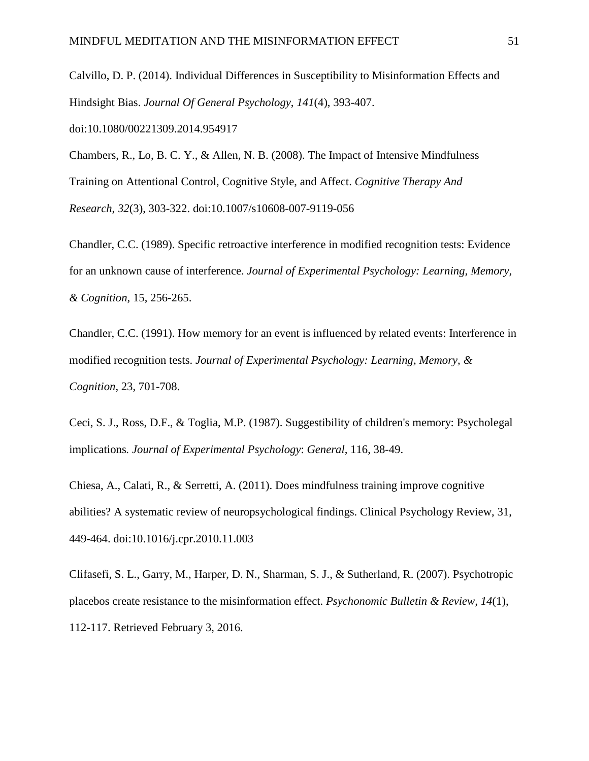Calvillo, D. P. (2014). Individual Differences in Susceptibility to Misinformation Effects and Hindsight Bias. *Journal Of General Psychology*, *141*(4), 393-407. doi:10.1080/00221309.2014.954917

Chambers, R., Lo, B. C. Y., & Allen, N. B. (2008). The Impact of Intensive Mindfulness Training on Attentional Control, Cognitive Style, and Affect. *Cognitive Therapy And Research*, *32*(3), 303-322. doi:10.1007/s10608-007-9119-056

Chandler, C.C. (1989). Specific retroactive interference in modified recognition tests: Evidence for an unknown cause of interference. *Journal of Experimental Psychology: Learning, Memory, & Cognition,* 15, 256-265.

Chandler, C.C. (1991). How memory for an event is influenced by related events: Interference in modified recognition tests. *Journal of Experimental Psychology: Learning, Memory, & Cognition*, 23, 701-708.

Ceci, S. J., Ross, D.F., & Toglia, M.P. (1987). Suggestibility of children's memory: Psycholegal implications*. Journal of Experimental Psychology*: *General,* 116, 38-49.

Chiesa, A., Calati, R., & Serretti, A. (2011). Does mindfulness training improve cognitive abilities? A systematic review of neuropsychological findings. Clinical Psychology Review, 31, 449-464. doi:10.1016/j.cpr.2010.11.003

Clifasefi, S. L., Garry, M., Harper, D. N., Sharman, S. J., & Sutherland, R. (2007). Psychotropic placebos create resistance to the misinformation effect. *Psychonomic Bulletin & Review, 14*(1), 112-117. Retrieved February 3, 2016.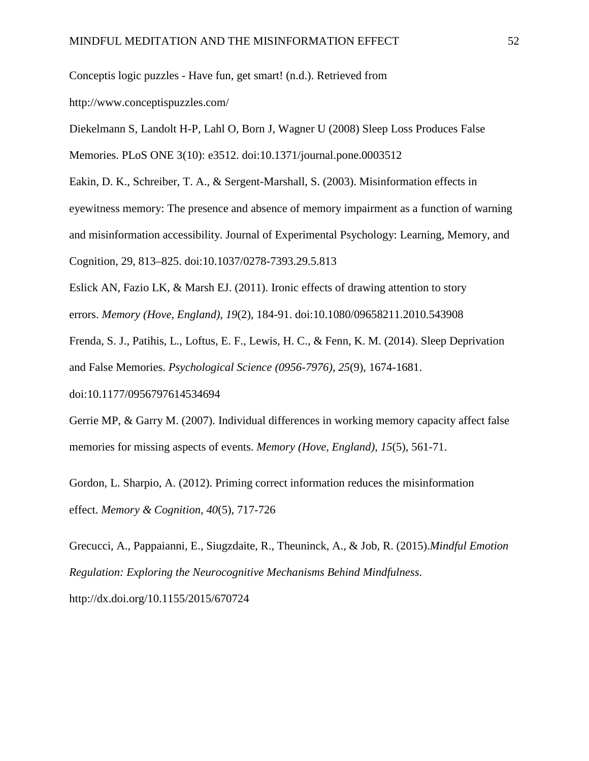Conceptis logic puzzles - Have fun, get smart! (n.d.). Retrieved from

http://www.conceptispuzzles.com/

Diekelmann S, Landolt H-P, Lahl O, Born J, Wagner U (2008) Sleep Loss Produces False

Memories. PLoS ONE 3(10): e3512. doi:10.1371/journal.pone.0003512

Eakin, D. K., Schreiber, T. A., & Sergent-Marshall, S. (2003). Misinformation effects in

eyewitness memory: The presence and absence of memory impairment as a function of warning

and misinformation accessibility. Journal of Experimental Psychology: Learning, Memory, and

Cognition, 29, 813–825. doi:10.1037/0278-7393.29.5.813

Eslick AN, Fazio LK, & Marsh EJ. (2011). Ironic effects of drawing attention to story

errors. *Memory (Hove, England)*, *19*(2), 184-91. doi:10.1080/09658211.2010.543908

Frenda, S. J., Patihis, L., Loftus, E. F., Lewis, H. C., & Fenn, K. M. (2014). Sleep Deprivation and False Memories. *Psychological Science (0956-7976)*, *25*(9), 1674-1681.

doi:10.1177/0956797614534694

Gerrie MP, & Garry M. (2007). Individual differences in working memory capacity affect false memories for missing aspects of events. *Memory (Hove, England)*, *15*(5), 561-71.

Gordon, L. Sharpio, A. (2012). Priming correct information reduces the misinformation effect. *Memory & Cognition, 40*(5), 717-726

Grecucci, A., Pappaianni, E., Siugzdaite, R., Theuninck, A., & Job, R. (2015).*Mindful Emotion Regulation: Exploring the Neurocognitive Mechanisms Behind Mindfulness*. http://dx.doi.org/10.1155/2015/670724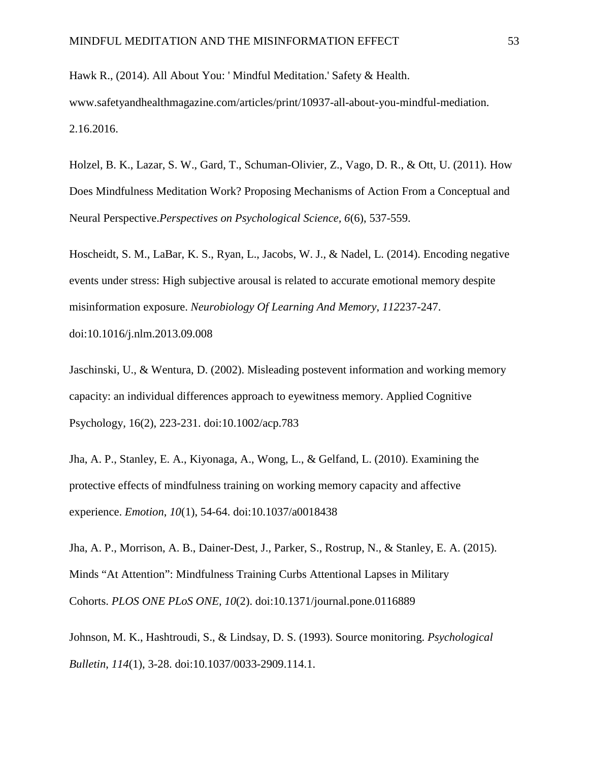Hawk R., (2014). All About You: ' Mindful Meditation.' Safety & Health. www.safetyandhealthmagazine.com/articles/print/10937-all-about-you-mindful-mediation. 2.16.2016.

Holzel, B. K., Lazar, S. W., Gard, T., Schuman-Olivier, Z., Vago, D. R., & Ott, U. (2011). How Does Mindfulness Meditation Work? Proposing Mechanisms of Action From a Conceptual and Neural Perspective.*Perspectives on Psychological Science, 6*(6), 537-559.

Hoscheidt, S. M., LaBar, K. S., Ryan, L., Jacobs, W. J., & Nadel, L. (2014). Encoding negative events under stress: High subjective arousal is related to accurate emotional memory despite misinformation exposure. *Neurobiology Of Learning And Memory*, *112*237-247. doi:10.1016/j.nlm.2013.09.008

Jaschinski, U., & Wentura, D. (2002). Misleading postevent information and working memory capacity: an individual differences approach to eyewitness memory. Applied Cognitive Psychology, 16(2), 223-231. doi:10.1002/acp.783

Jha, A. P., Stanley, E. A., Kiyonaga, A., Wong, L., & Gelfand, L. (2010). Examining the protective effects of mindfulness training on working memory capacity and affective experience. *Emotion*, *10*(1), 54-64. doi:10.1037/a0018438

Jha, A. P., Morrison, A. B., Dainer-Dest, J., Parker, S., Rostrup, N., & Stanley, E. A. (2015). Minds "At Attention": Mindfulness Training Curbs Attentional Lapses in Military Cohorts. *PLOS ONE PLoS ONE, 10*(2). doi:10.1371/journal.pone.0116889

Johnson, M. K., Hashtroudi, S., & Lindsay, D. S. (1993). Source monitoring. *Psychological Bulletin*, *114*(1), 3-28. doi:10.1037/0033-2909.114.1.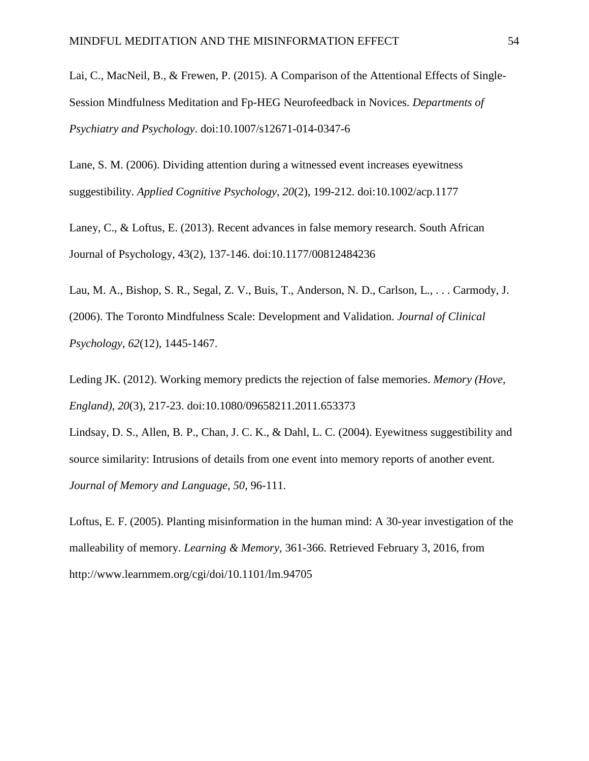Lai, C., MacNeil, B., & Frewen, P. (2015). A Comparison of the Attentional Effects of Single-Session Mindfulness Meditation and Fp-HEG Neurofeedback in Novices. *Departments of Psychiatry and Psychology*. doi:10.1007/s12671-014-0347-6

Lane, S. M. (2006). Dividing attention during a witnessed event increases eyewitness suggestibility. *Applied Cognitive Psychology*, *20*(2), 199-212. doi:10.1002/acp.1177

Laney, C., & Loftus, E. (2013). Recent advances in false memory research. South African Journal of Psychology, 43(2), 137-146. doi:10.1177/00812484236

Lau, M. A., Bishop, S. R., Segal, Z. V., Buis, T., Anderson, N. D., Carlson, L., . . . Carmody, J. (2006). The Toronto Mindfulness Scale: Development and Validation. *Journal of Clinical Psychology, 62*(12), 1445-1467.

Leding JK. (2012). Working memory predicts the rejection of false memories. *Memory (Hove, England)*, *20*(3), 217-23. doi:10.1080/09658211.2011.653373

Lindsay, D. S., Allen, B. P., Chan, J. C. K., & Dahl, L. C. (2004). Eyewitness suggestibility and source similarity: Intrusions of details from one event into memory reports of another event. *Journal of Memory and Language*, *50*, 96-111.

Loftus, E. F. (2005). Planting misinformation in the human mind: A 30-year investigation of the malleability of memory. *Learning & Memory,* 361-366. Retrieved February 3, 2016, from http://www.learnmem.org/cgi/doi/10.1101/lm.94705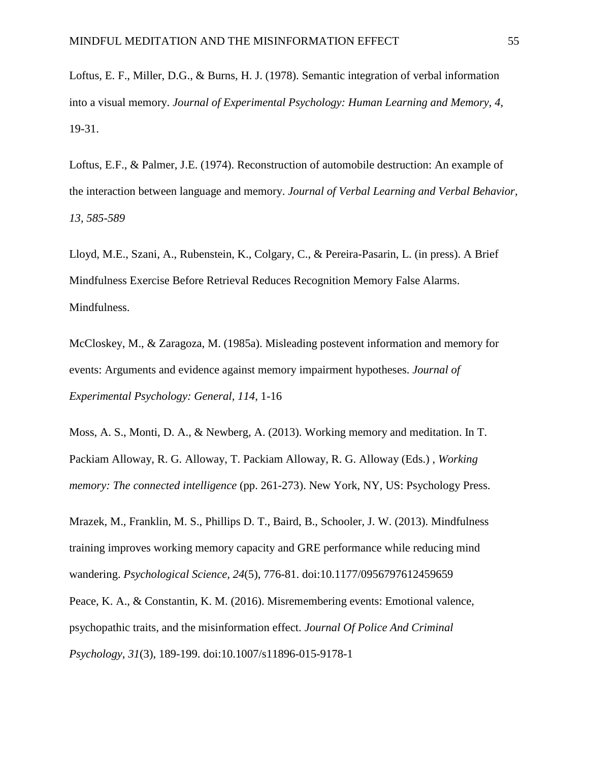Loftus, E. F., Miller, D.G., & Burns, H. J. (1978). Semantic integration of verbal information into a visual memory. *Journal of Experimental Psychology: Human Learning and Memory, 4*, 19-31.

Loftus, E.F., & Palmer, J.E. (1974). Reconstruction of automobile destruction: An example of the interaction between language and memory. *Journal of Verbal Learning and Verbal Behavior, 13, 585-589*

Lloyd, M.E., Szani, A., Rubenstein, K., Colgary, C., & Pereira-Pasarin, L. (in press). A Brief Mindfulness Exercise Before Retrieval Reduces Recognition Memory False Alarms. Mindfulness.

McCloskey, M., & Zaragoza, M. (1985a). Misleading postevent information and memory for events: Arguments and evidence against memory impairment hypotheses. *Journal of Experimental Psychology: General, 114*, 1-16

Moss, A. S., Monti, D. A., & Newberg, A. (2013). Working memory and meditation. In T. Packiam Alloway, R. G. Alloway, T. Packiam Alloway, R. G. Alloway (Eds.) , *Working memory: The connected intelligence* (pp. 261-273). New York, NY, US: Psychology Press.

Mrazek, M., Franklin, M. S., Phillips D. T., Baird, B., Schooler, J. W. (2013). Mindfulness training improves working memory capacity and GRE performance while reducing mind wandering. *Psychological Science, 24*(5), 776-81. doi:10.1177/0956797612459659

Peace, K. A., & Constantin, K. M. (2016). Misremembering events: Emotional valence, psychopathic traits, and the misinformation effect. *Journal Of Police And Criminal Psychology*, *31*(3), 189-199. doi:10.1007/s11896-015-9178-1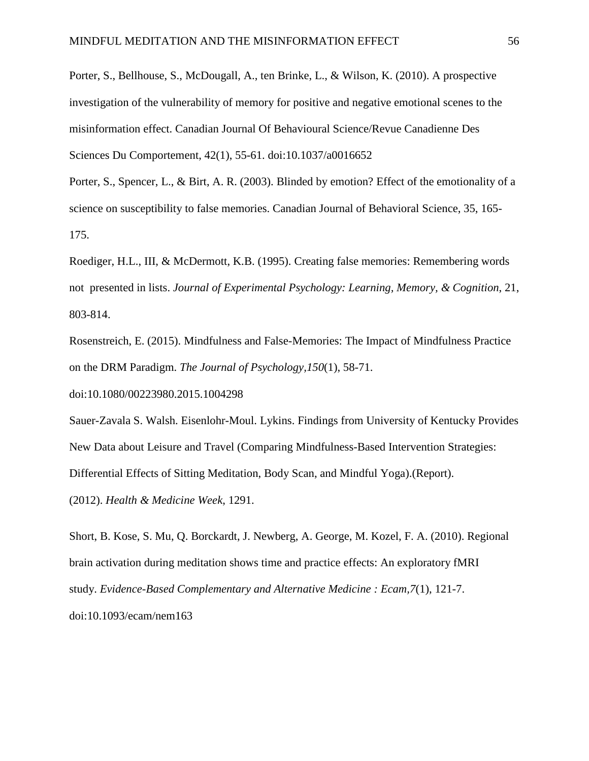Porter, S., Bellhouse, S., McDougall, A., ten Brinke, L., & Wilson, K. (2010). A prospective investigation of the vulnerability of memory for positive and negative emotional scenes to the misinformation effect. Canadian Journal Of Behavioural Science/Revue Canadienne Des Sciences Du Comportement, 42(1), 55-61. doi:10.1037/a0016652

Porter, S., Spencer, L., & Birt, A. R. (2003). Blinded by emotion? Effect of the emotionality of a science on susceptibility to false memories. Canadian Journal of Behavioral Science, 35, 165- 175.

Roediger, H.L., III, & McDermott, K.B. (1995). Creating false memories: Remembering words not presented in lists. *Journal of Experimental Psychology: Learning, Memory, & Cognition*, 21, 803-814.

Rosenstreich, E. (2015). Mindfulness and False-Memories: The Impact of Mindfulness Practice on the DRM Paradigm. *The Journal of Psychology,150*(1), 58-71.

doi:10.1080/00223980.2015.1004298

Sauer-Zavala S. Walsh. Eisenlohr-Moul. Lykins. Findings from University of Kentucky Provides New Data about Leisure and Travel (Comparing Mindfulness-Based Intervention Strategies: Differential Effects of Sitting Meditation, Body Scan, and Mindful Yoga).(Report). (2012). *Health & Medicine Week*, 1291.

Short, B. Kose, S. Mu, Q. Borckardt, J. Newberg, A. George, M. Kozel, F. A. (2010). Regional brain activation during meditation shows time and practice effects: An exploratory fMRI study. *Evidence-Based Complementary and Alternative Medicine : Ecam,7*(1), 121-7. doi:10.1093/ecam/nem163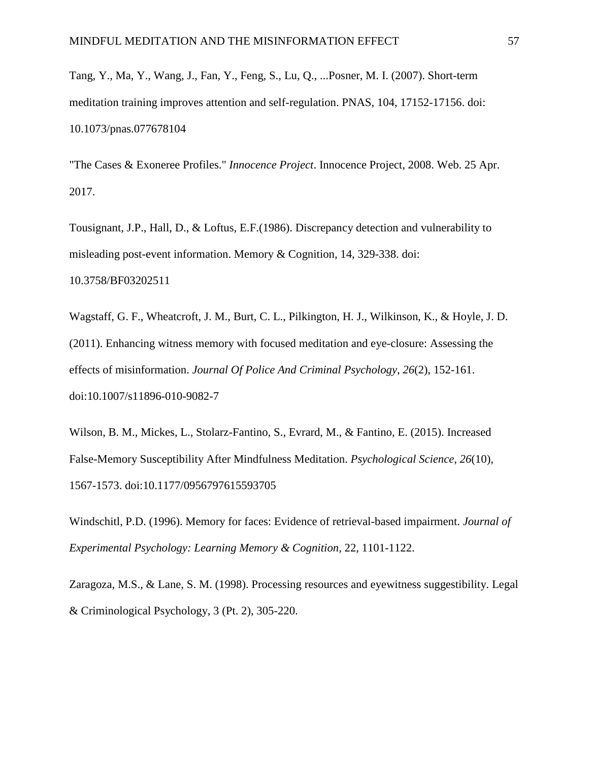Tang, Y., Ma, Y., Wang, J., Fan, Y., Feng, S., Lu, Q., ...Posner, M. I. (2007). Short-term meditation training improves attention and self-regulation. PNAS, 104, 17152-17156. doi: 10.1073/pnas.077678104

"The Cases & Exoneree Profiles." *Innocence Project*. Innocence Project, 2008. Web. 25 Apr. 2017.

Tousignant, J.P., Hall, D., & Loftus, E.F.(1986). Discrepancy detection and vulnerability to misleading post-event information. Memory & Cognition, 14, 329-338. doi: 10.3758/BF03202511

Wagstaff, G. F., Wheatcroft, J. M., Burt, C. L., Pilkington, H. J., Wilkinson, K., & Hoyle, J. D. (2011). Enhancing witness memory with focused meditation and eye-closure: Assessing the effects of misinformation. *Journal Of Police And Criminal Psychology*, *26*(2), 152-161. doi:10.1007/s11896-010-9082-7

Wilson, B. M., Mickes, L., Stolarz-Fantino, S., Evrard, M., & Fantino, E. (2015). Increased False-Memory Susceptibility After Mindfulness Meditation. *Psychological Science, 26*(10), 1567-1573. doi:10.1177/0956797615593705

Windschitl, P.D. (1996). Memory for faces: Evidence of retrieval-based impairment. *Journal of Experimental Psychology: Learning Memory & Cognition,* 22, 1101-1122.

Zaragoza, M.S., & Lane, S. M. (1998). Processing resources and eyewitness suggestibility. Legal & Criminological Psychology, 3 (Pt. 2), 305-220.